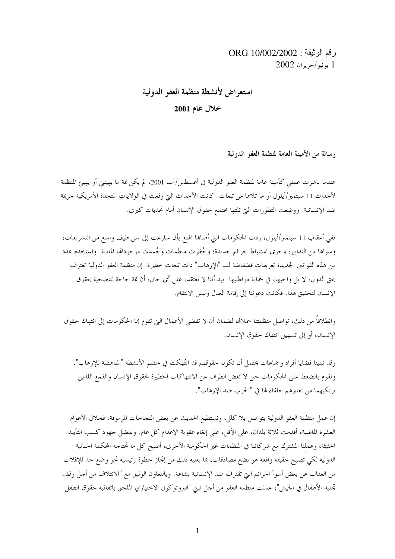# رقم الوثيقة : 0RG 10/002/2002 2002 يونيو/حزيران 2002

# استعراض لأنشطة منظمة العفو الدولية خلال عام 2001

رسالة من الأمينة العامة لمنظمة العفو الدولية

عندما باشرت عملي كأمينة عامة لمنظمة العفو الدولية في أغسطس/آب 2001، لم يكن ثمة ما يهيئني أو يهيئ المنظمة لأحداث 11 سبتمبر/أيلول أو ما تلاها من تبعات. كانت الأحداث التي وقعت في الولايات المتحدة الأمريكية حريمة ضد الإنسانية. ووضعت التطورات التيّ تلتها مجتمع حقوق الإنسان أمام تحديات كبرى.

ففي أعقاب 11 سبتمبر/أيلول، ردت الحكومات التي أصابها الهلع بأن سارعت إلى سن طيف واسع من التشريعات، وسواها من التدابير؛ وحرى استنباط جرائم حديدة؛ وحُظرت منظمات وحُمدت موجودالها المادية. واستخدم عدد من هذه القوانين الجديدة تعريفات فضفاضة لــ "الإرهاب" ذات تبعات خطيرة. إن منظمة العفو الدولية تعترف بحق الدول، لا بل واجبها، في حماية مواطنيها. بيد أننا لا نعتقد، على أي حال، أن ثمة حاجة للتضحية بحقوق الإنسان لتحقيق هذا. فكانت دعوتنا إلى إقامة العدل وليس الانتقام.

وانطلاقاً من ذلك، تواصل منظمتنا حملالها لضمان أن لا تفضي الأعمال التي تقوم بما الحكومات إلى انتهاك حقوق الإنسان، أو إلى تسهيل انتهاك حقوق الإنسان.

وقد تبنينا قضايا أفراد وجماعات يحتمل أن تكون حقوقهم قد انتُهكت في حضم الأنشطة "المناهضة للإرهاب". ونقوم بالضغط على الحكومات حتى لا تغض الطرف عن الانتهاكات الخطيرة لحقوق الإنسان والقمع اللذين يرتكبهما من تعتبرهم حلفاء لها في "الحرب ضد الإرهاب".

إن عمل منظمة العفو الدولية يتواصل بلا كلل، ونستطيع الحديث عن بعض النجاحات المرموقة. فخلال الأعوام العشرة الماضية، أقدمت ثلاثة بلدان، على الأقل، على إلغاء عقوبة الإعدام كل عام. وبفضل جهود كسب التأييد الحثيثة، وعملنا المشترك مع شركائنا في المنظمات غير الحكومية الأخرى، أصبح كل ما تحتاجه المحكمة الجنائية الدولية لكي تصبح حقيقة واقعة هو بضع مصادقات، بما يعنيه ذلك من إنجاز خطوة رئيسية نحو وضع حد للإفلات من العقاب عن بعض أسوأ الجرائم التي تقترف ضد الإنسانية بشاعة. وبالتعاون الوثيق مع "الائتلاف من أحل وقف تجنيد الأطفال في الجيش"، عملت منظمة العفو من أحل تبني "البروتوكول الاختياري الملحق باتفاقية حقوق الطفل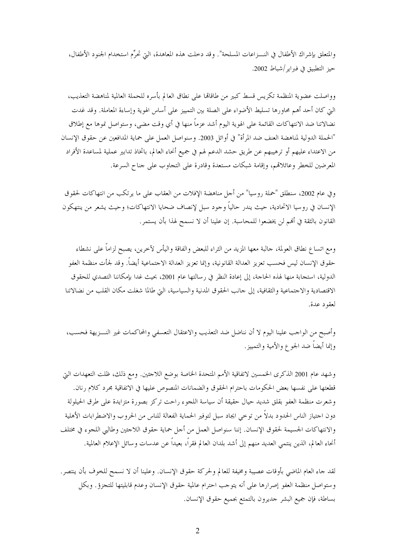والمتعلق بإشراك الأطفال في النـــزاعات المسلحة". وقد دخلت هذه المعاهدة، التي تحرُّم استخدام الجنود الأطفال، حيز التطبيق في فبراير/شباط 2002.

وواصلت عضوية المنظمة تكريس قسط كبير من طاقاتما على نطاق العالم بأسره للحملة العالمية لمناهضة التعذيب، التي كان أحد أهم محاورها تسليط الأضواء على الصلة بين التمييز على أساس الهوية وإساءة المعاملة. وقد غدت نضالاتنا ضد الانتهاكات القائمة على الهوية اليوم أشد عزماً منها في أي وقت مضى، وستواصل نموها مع إطلاق "الحملة الدولية لمناهضة العنف ضد المرأة" في أوائل 2003. وسنواصل العمل على حماية المدافعين عن حقوق الإنسان من الاعتداء عليهم أو ترهيبهم عن طريق حشد الدعم لهم في جميع أنحاء العالم، باتخاذ تدابير عملية لمساعدة الأفراد المعرضين للخطر وعائلاقم، وإقامة شبكات مستعدة وقادرة على التجاوب على حناح السرعة.

وفي عام 2002، سنطلق "حملة روسيا" من أجل مناهضة الإفلات من العقاب على ما يرتكب من انتهاكات لحقوق الإنسان في روسيا الاتحادية، حيث يندر حالياً وجود سبل لإنصاف ضحايا الانتهاكات؛ وحيث يشعر من ينتهكون القانون بالثقة في أُلهم لن يخضعوا للمحاسبة. إن علينا أن لا نسمح لهذا بأن يستمر.

ومع اتساع نطاق العولمة، حالبة معها المزيد من الثراء للبعض والفاقة واليأس لآخرين، يصبح لزاماً على نشطاء حقوق الإنسان ليس فحسب تعزيز العدالة القانونية، وإنما تعزيز العدالة الاحتماعية أيضاً. وقد لجأت منظمة العفو الدولية، استجابة منها لهذه الحاجة، إلى إعادة النظر في رسالتها عام 2001، بحيث غدا بإمكاننا التصدي للحقوق الاقتصادية والاحتماعية والثقافية، إلى حانب الحقوق المدنية والسياسية، التي طالما شغلت مكان القلب من نضالاتنا لعقود عدة.

وأصبح من الواحب علينا اليوم لا أن نناضل ضد التعذيب والاعتقال التعسفي والمحاكمات غير النـــزيهة فحسب، وإنما أيضاً ضد الجوع والأمية والتمييز .

وشهد عام 2001 الذكرى الخمسين لاتفاقية الأمم المتحدة الخاصة بوضع اللاجئين. ومع ذلك، ظلت التعهدات التي قطعتها على نفسها بعض الحكومات باحترام الحقوق والضمانات المنصوص عليها في الاتفاقية مجرد كلام رنان. وشعرت منظمة العفو بقلق شديد حيال حقيقة أن سياسة اللجوء راحت تركز بصورة متزايدة على طرق الحيلولة دون احتياز الناس الحدود بدلاً من توخي ايجاد سبل لتوفير الحماية الفعالة للناس من الحروب والاضطرابات الأهلية والانتهاكات الجسيمة لحقوق الإنسان. إننا سنواصل العمل من أجل حماية حقوق اللاجئين وطالبي اللجوء في مختلف أنحاء العالم، الذين ينتمي العديد منهم إلى أشد بلدان العالم فقراً، بعيداً عن عدسات وسائل الإعلام العالمية.

لقد جاء العام الماضي بأوقات عصيبة ومخيفة للعالم ولحركة حقوق الإنسان. وعلينا أن لا نسمح للخوف بأن ينتصر. وستواصل منظمة العفو إصرارها على أنه يتوحب احترام عالمية حقوق الإنسان وعدم قابليتها للتجزؤ. وبكل بساطة، فإن جميع البشر حديرون بالتمتع بجميع حقوق الإنسان.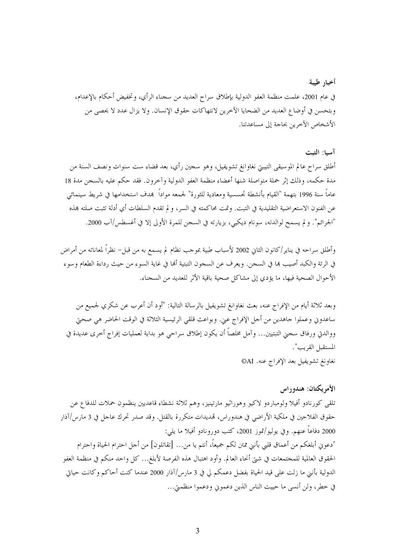أخبار طيبة في عام 2001، علمت منظمة العفو الدولية بإطلاق سراح العديد من سجناء الرأي، وتخفيض أحكام بالإعدام، وبتحسن في أوضاع العديد من الضحايا الآخرين لانتهاكات حقوق الإنسان. ولا يزال عدد لا يحصى من الأشخاص الآخرين بحاجة إلى مساعدتنا.

### آسيا: التبت

أطلق سراح عالم الموسيقى التيبتي نغاوانغ تشويفيل، وهو سجين رأي، بعد قضاء ست سنوات ونصف السنة من مدة حكمه، وذلك إثر حملة متواصلة شنها أعضاء منظمة العفو الدولية وآخرون. فقد حكم عليه بالسحن مدة 18 عاماً سنة 1996 بتهمة "القيام بأنشطة تجسسية ومعادية للثورة" لجمعه مواداً ۖ بمدف استخدامها في شريط سينمائ<sub>ى</sub> عن الفنون الاستعراضية التقليدية في التبت. وتمت محاكمته في السر، و لم تقدم السلطات أي أدلة تثبت صلته بمذه "الجرائم". و لم يسمح لوالدته، سونام ديكيي، بزيارته في السجن للمرة الأولى إلا في أغسطس/آب 2000.

وأطلق سراحه في يناير/كانون الثاني 2002 لأسباب طبية بموجب نظام لم يسمع به من قبل– نظراً لمعاناته من أمراض في الرئة والكبد أصيب هما في السحن. ويعرف عن السحون التبتية ألها في غاية السوء من حيث رداءة الطعام وسوء الأحوال الصحية فيها، ما يؤدي إلى مشاكل صحية باقية الأثر للعديد من السجناء.

وبعد ثلاثة أيام من الإفراج عنه، بعث نغاوانغ تشويفيل بالرسالة التالية: "أود أن أعرب عن شكري لجميع من ساعدوني وعملوا حاهدين من أحل الإفراج عني. وبواعث قلقي الرئيسية الثلاثة في الوقت الحاضر هي صحتي ووالدتي ورفاق سجني التبتيين… وآمل مخلصاً أن يكون إطلاق سراحي هو بداية لعمليات إفراج أخرى عديدة في المستقبل القريب". نغاونغ تشويفيل بعد الإفراج عنه. AI®

# الأمريكتان: هندوراس

تلقى كورنادو أفيلا ولومباردو لاكيو وهوراثيو مارتينيز، وهم ثلاثة نشطاء قاعديين ينظمون حملات للدفاع عن حقوق الفلاحين في ملكية الأراضي في هندوراس، قمديدات متكررة بالقتل. وقد صدر تحرك عاجل في 3 مارس/آذار 2000 دفاعاً عنهم. وفي يوليو/تموز 2001، كتب دورونادو أفيلا ما يلي: "دعوني أبلغكم من أعماق قلبي بأنني ممتن لكم جميعاً، أنتم يا من... [تقاتلون] من أحل احترام الحياة واحترام الحقوق العالمية للمجتمعات في شتى أنحاء العالم. وأود اهتبال هذه الفرصة لأبلغ... كل واحد منكم في منظمة العفو الدولية بأنني ما زلت على قيد الحياة بفضل دعمكم لي في 3 مارس/آذار 2000 عندما كنت أحاكم وكانت حياتي في خطر، ولن أنسى ما حييت الناس الذين دعموني ودعموا منظمتي...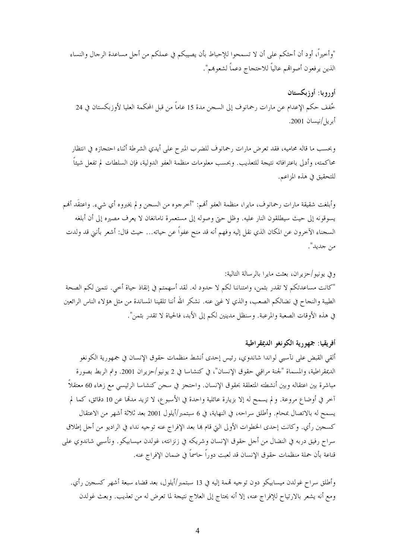"وأخيراً، أود أن أحثكم على أن لا تسمحوا للإحباط بأن يصيبكم في عملكم من أجل مساعدة الرجال والنساء الذين يرفعون أصواقمم عالياً للاحتجاج دعماً لشعوبمم".

أوروبا: أوزبكستان خُفف حكم الإعدام عن مارات رحمانوف إلى السجن مدة 15 عاماً من قبل المحكمة العليا لأوزبكستان في 24 أبريل/نيسان 2001.

وبحسب ما قاله محاميه، فقد تعرض مارات رحمانوف للضرب المبرح على أيدي الشرطة أثناء احتجازه في انتظار محاكمته، وأدلى باعترافاته نتيجة للتعذيب. وبحسب معلومات منظمة العفو الدولية، فإن السلطات لم تفعل شيئاً للتحقيق في هذه المزاعم.

وأبلغت شقيقة مارات رحمانوف، مايرا، منظمة العفو ألهم: "أخرجوه من السجن و لم يخبروه أي شيء. واعتقَد ألهم يسوقونه إلى حيث سيطلقون النار عليه. وظل حتى وصوله إلى مستعمرة نامانغان لا يعرف مصيره إلى أن أبلغه السجناء الآخرون عن المكان الذي نقل إليه وفهم أنه قد منح عفواً عن حياته… حيث قال: أشعر بأنني قد ولدت من جديد".

وفي يونيو/حزيران، بعثت مايرا بالرسالة التالية: "كانت مساعدتكم لا تقدر بثمن، وامتناننا لكم لا حدود له. لقد أسهمتم في إنقاذ حياة أخي. نتمنى لكم الصحة الطيبة والنجاح في نضالكم الصعب، والذي لا غني عنه. نشكر الله أننا تلقينا المساندة من مثل هؤلاء الناس الرائعين في هذه الأوقات الصعبة والمرعبة. وسنظل مدينين لكم إلى الأبد، فالحياة لا تقدر بثمن".

### أفريقيا: جمهورية الكونغو الديمقراطية

ألقى القبض على نآسيي لواندا شاندوي، رئيس إحدى أنشط منظمات حقوق الإنسان في جمهورية الكونغو الديمقراطية، والمسماة "لجنة مراقبي حقوق الإنسان"، في كنشاسا في 2 يونيو/حزيران 2001. وتم الربط بصورة مباشرة بين اعتقاله وبين أنشطته المتعلقة بحقوق الإنسان. واحتجز في سجن كنشاسا الرئيسي مع زهاء 60 معتقلاً آخر في أوضاع مروعة. و لم يسمح له إلا بزيارة عائلية واحدة في الأسبوع، لا تزيد مدمَّا عن 10 دقائق، كما لم يسمح له بالاتصال بمحام. وأطلق سراحه، في النهاية، في 6 سبتمبر/أيلول 2001 بعد ثلاثة أشهر من الاعتقال كسجين رأي. وكانت إحدى الخطوات الأولى التي قام بما بعد الإفراج عنه توجيه نداء في الراديو من أجل إطلاق سراح رفيق دربه في النضال من أجل حقوق الإنسان وشريكه في زنزانته، غولدن ميسابيكو. ونأسيي شاندوي على قناعة بأن حملة منظمات حقوق الإنسان قد لعبت دوراً حاسماً في ضمان الإفراج عنه.

وأطلق سراح غولدن ميسابيكو دون توجيه تممة إليه في 13 سبتمبر/أيلول، بعد قضاء سبعة أشهر كسجين رأي. ومع أنه يشعر بالارتياح للإفراج عنه، إلا أنه يحتاج إلى العلاج نتيجة لما تعرض له من تعذيب. وبعث غولدن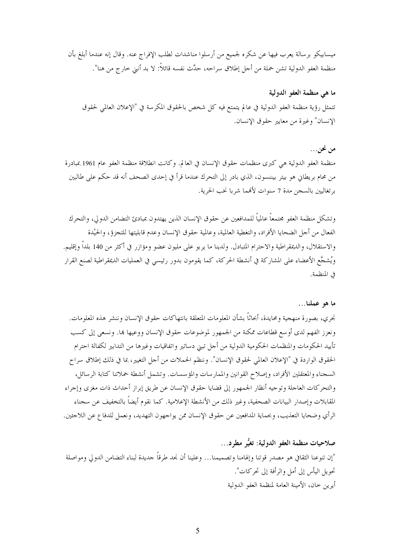ميسابيكو برسالة يعرب فيها عن شكره لجميع من أرسلوا مناشدات لطلب الإفراج عنه. وقال إنه عندما أبلغ بأن منظمة العفو الدولية تشن حملة من أجل إطلاق سراحه، حدَّث نفسه قائلاً: لا بد أنني حارج من هنا".

# ما هي منظمة العفو الدولية

تتمثل رؤية منظمة العفو الدولية في عالم يتمتع فيه كل شخص بالحقوق المكرسة في "الإعلان العالمي لحقوق الإنسان" وغيرة من معايير حقوق الإنسان.

# من نحن…

منظمة العفو الدولية هي كبرى منظمات حقوق الإنسان في العالم. وكانت انطلاقة منظمة العفو عام 1961 بمبادرة من محام بريطان هو بيتر بيننسون، الذي بادر إلى التحرك عندما قرأ في إحدى الصحف أنه قد حكم على طالبين برتغاليين بالسجن مدة 7 سنوات لألهما شربا نخب الحرية.

وتشكل منظمة العفو مجتمعاً عالمياً للمدافعين عن حقوق الإنسان الذين يهتدون بمبادئ التضامن الدولي، والتحرك الفعال من أجل الضحايا الأفراد، والتغطية العالمية، وعالمية حقوق الإنسان وعدم قابليتها للتجزؤ، والحيْدة والاستقلال، والديمقراطية والاحترام المتبادل. ولدينا ما يربو على مليون عضو ومؤازر في أكثر من 140 بلداً وإقليم. ويُشجَّع الأعضاء على المشاركة في أنشطة الحركة، كما يقومون بدور رئيسي في العمليات الديمقراطية لصنع القرار في المنظمة.

### ما هو عملنا…

نجري، بصورة منهجية ومحايدة، أبحاثاً بشأن المعلومات المتعلقة بانتهاكات حقوق الإنسان وننشر هذه المعلومات. ونعزز الفهم لدى أوسع قطاعات ممكنة من الجمهور لموضوعات حقوق الإنسان ووعيها ها. ونسعى إلى كسب تأييد الحكومات والمنظمات الحكومية الدولية من أجل تبني دساتير واتفاقيات وغيرها من التدابير لكفالة احترام الحقوق الواردة في "الإعلان العالمي لحقوق الإنسان". وننظم الحملات من أجل التغيير، بما في ذلك إطلاق سراح السجناء والمعتقلين الأفراد، وإصلاح القوانين والممارسات والمؤسسات. وتشمل أنشطة حملاتنا كتابة الرسائل، والتحركات العاجلة وتوجيه أنظار الجمهور إلى قضايا حقوق الإنسان عن طريق إبراز أحداث ذات مغزى وإجراء المقابلات وإصدار البيانات الصحفية، وغير ذلك من الأنشطة الإعلامية. كما نقوم أيضاً بالتخفيف عن سجناء الرأي وضحايا التعذيب، وبحماية المدافعين عن حقوق الإنسان ممن يواجهون التهديد، ونعمل للدفاع عن اللاجئين.

صلاحيات منظمة العفو الدولية: تغيُّر مطرد... "إن تنوعنا الثقافي هو مصدر قوتنا وإلهامنا وتصميمنا... وعلينا أن نجد طرقاً جديدة لبناء التضامن الدولي ومواصلة تحويل اليأس إلى أمل والرأفة إلى تحركات". أيرين حان، الأمينة العامة لمنظمة العفو الدولية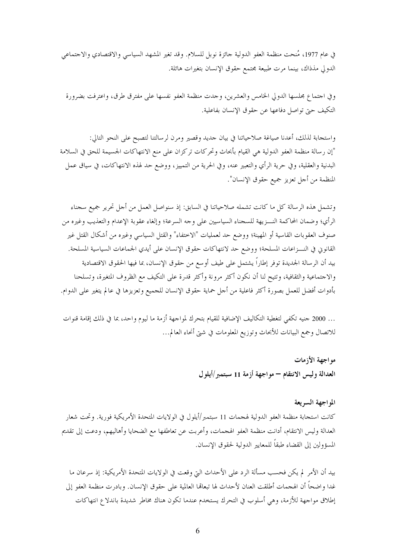في عام 1977، مُنحت منظمة العفو الدولية حائزة نوبل للسلام. وقد تغير المشهد السياسي والاقتصادي والاجتماعي الدولي مذذاك، بينما مرت طبيعة مجتمع حقوق الإنسان بتغيرات هائلة.

و في اجتماع مجلسها الدولي الخامس والعشرين، وجدت منظمة العفو نفسها على مفترق طرق، واعترفت بضرورة التكيف حتى تواصل دفاعها عن حقوق الإنسان بفاعلية.

واستحابة لذلك، أعدنا صياغة صلاحياتنا في بيان حديد وقصير ومرن لرسالتنا لتصبح على النحو التالي: "إن رسالة منظمة العفو الدولية هي القيام بأبحاث وتحركات تركزان على منع الانتهاكات الجسيمة للحق في السلامة البدنية والعقلية، وفي حرية الرأي والتعبير عنه، وفي الحرية من التمييز، ووضع حد لهذه الانتهاكات، في سياق عمل المنظمة من أحل تعزيز جميع حقوق الإنسان".

وتشمل هذه الرسالة كل ما كانت تشمله صلاحياتنا في السابق: إذ سنواصل العمل من أجل تحرير جميع سجناء الرأي؛ وضمان المحاكمة النــــزيهة للسجناء السياسيين على وجه السرعة؛ وإلغاء عقوبة الإعدام والتعذيب وغيره من صنوف العقوبات القاسية أو المهينة؛ ووضع حد لعمليات "الاختفاء" والقتل السياسي وغيره من أشكال القتل غير القانوني في النـــزاعات المسلحة؛ ووضع حد لانتهاكات حقوق الإنسان على أيدي الجماعات السياسية المسلحة. بيد أن الرسالة الجديدة توفر إطاراً يشتمل على طيف أوسع من حقوق الإنسان، بما فيها الحقوق الاقتصادية والاحتماعية والثقافية، وتتيح لنا أن نكون أكثر مرونة وأكثر قدرة على التكيف مع الظروف المتغيرة، وتسلحنا بأدوات أفضل للعمل بصورة أكثر فاعلية من أحل حماية حقوق الإنسان للجميع وتعزيزها في عالم يتغير على الدوام.

… 2000 حنيه تكفي لتغطية التكاليف الإضافية للقيام بتحرك لمواحهة أزمة ما ليوم واحد، بما في ذلك إقامة قنوات للاتصال وجمع البيانات للأبحاث وتوزيع المعلومات في شتى أنحاء العالم...

مو اجهة الأزمات

العدالة وليس الانتقام – مواجهة أزمة 11 سبتمبر/أيلول

#### المواجهة السريعة

كانت استجابة منظمة العفو الدولية لهجمات 11 سبتمبر/أيلول في الولايات المتحدة الأمريكية فورية. وتحت شعار العدالة وليس الانتقام، أدانت منظمة العفو الهجمات، وأعربت عن تعاطفها مع الضحايا وأهاليهم، ودعت إلى تقديم المسؤولين إلى القضاء طبقاً للمعايير الدولية لحقوق الإنسان.

بيد أن الأمر لم يكن فحسب مسألة الرد على الأحداث التي وقعت في الولايات المتحدة الأمريكية: إذ سرعان ما غدا واضحاً أن الهجمات أطلقت العنان لأحداث لها تبعالها العالمية على حقوق الإنسان. وبادرت منظمة العفو إلى إطلاق مواجهة للأزمة، وهي أسلوب في التحرك يستخدم عندما تكون هناك مخاطر شديدة باندلاع انتهاكات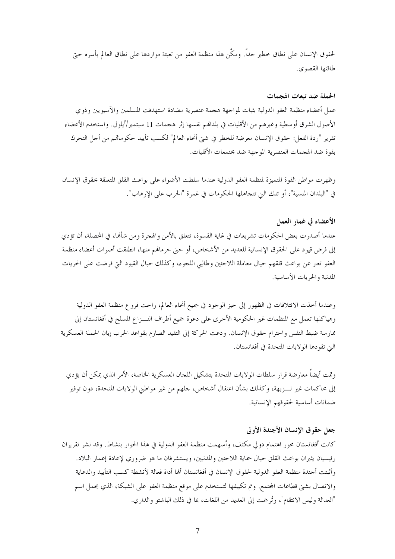لحقوق الإنسان على نطاق حطير جداً. ومكَّن هذا منظمة العفو من تعبئة مواردها على نطاق العالم بأسره حيّ طاقتها القصوى.

#### الحملة ضد تبعات الهجمات

عمل أعضاء منظمة العفو الدولية بثبات لمواجهة هجمة عنصرية مضادة استهدفت المسلمين والآسيويين وذوي الأصول الشرق أوسطية وغيرهم من الأقليات في بلدالهم نفسها إثر هجمات 11 سبتمبر/أيلول. واستخدم الأعضاء تقرير "ردة الفعل: حقوق الإنسان معرضة للخطر في شتى أنحاء العالم" لكسب تأييد حكوماتمم من أجل التحرك بقوة ضد الهجمات العنصرية الموجهة ضد محتمعات الأقليات.

وظهرت مواطن القوة المتميزة لمنظمة العفو الدولية عندما سلطت الأضواء على بواعث القلق المتعلقة بحقوق الإنسان في "البلدان المنسية"، أو تلك التي تتحاهلها الحكومات في غمرة "الحرب على الإرهاب".

# الأعضاء في غمار العمل

عندما أصدرت بعض الحكومات تشريعات في غاية القسوة، تتعلق بالأمن والهجرة ومن شألها، في المحصلة، أن تؤدي إلى فرض قيود على الحقوق الإنسانية للعديد من الأشخاص، أو حتى حرمالهم منها، انطلقت أصوات أعضاء منظمة العفو تعبر عن بواعث قلقهم حيال معاملة اللاحئين وطالبي اللجوء، وكذلك حيال القيود التي فرضت على الحريات المدنية والحريات الأساسية.

وعندما أخذت الائتلافات في الظهور إلى حيز الوجود في جميع أنحاء العالم، راحت فروع منظمة العفو الدولية وهياكلها تعمل مع المنظمات غير الحكومية الأخرى على دعوة جميع أطراف النـــزاع المسلح في أفغانستان إلى ممارسة ضبط النفس واحترام حقوق الإنسان. ودعت الحركة إلى التقيد الصارم بقواعد الحرب إبان الحملة العسكرية التي تقودها الولايات المتحدة في أفغانستان.

وتمت أيضاً معارضة قرار سلطات الولايات المتحدة بتشكيل اللجان العسكرية الخاصة، الأمر الذي يمكن أن يؤدي إلى محاكمات غير نــــزيهة، وكذلك بشأن اعتقال أشخاص، حلهم من غير مواطني الولايات المتحدة، دون توفير ضمانات أساسية لحقوقهم الإنسانية.

### جعل حقوق الإنسان الأجندة الأولى

كانت أفغانستان محور اهتمام دولي مكثف، وأسهمت منظمة العفو الدولية في هذا الحوار بنشاط. وقد نشر تقريران رئيسيان يثيران بواعث القلق حيال حماية اللاجئين والمدنيين، ويستشرفان ما هو ضروري لإعادة إعمار البلاد. وأثبتت أجندة منظمة العفو الدولية لحقوق الإنسان في أفغانستان ألها أداة فعالة لأنشطة كسب التأييد والدعاية والاتصال بشتي قطاعات المحتمع. وتم تكييفها لتستخدم على موقع منظمة العفو على الشبكة، الذي يحمل اسم "العدالة وليس الانتقام"، وتُرجمت إلى العديد من اللغات، بما في ذلك الباشتو والداري.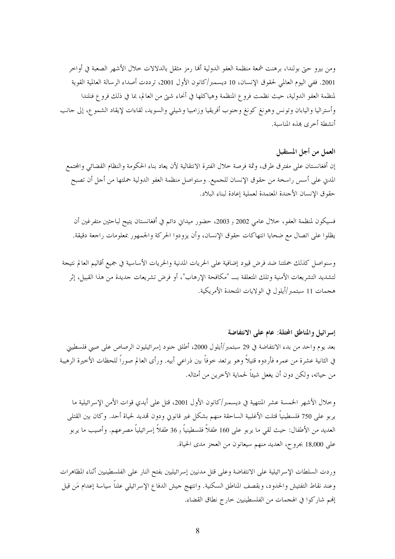ومن بيرو حتى بولندا، برهنت شمعة منظمة العفو الدولية ألها رمز مثقل بالدلالات خلال الأشهر الصعبة في أواخر 2001. ففي اليوم العالمي لحقوق الإنسان، 10 ديسمبر/كانون الأول 2001، ترددت أصداء الرسالة العالمية القوية لمنظمة العفو الدولية، حيث نظمت فروع المنظمة وهياكلها في أنحاء شتى من العالم، بما في ذلك فروع فنلندا وأستراليا واليابان وتونس وهونغ كونغ وحنوب أفريقيا وزامبيا وشيلي والسويد، لقاءات لإيقاد الشمو ع، إلى حانب أنشطة أخرى بمذه المناسبة.

### العمل من أجل المستقبل

إن أفغانستان على مفترق طرق، وثمة فرصة حلال الفترة الانتقالية لأن يعاد بناء الحكومة والنظام القضائي والمحتمع المدن على أسس راسخة من حقوق الإنسان للجميع. وستواصل منظمة العفو الدولية حملتها من أجل أن تصبح حقوق الإنسان الأجندة المعتمدة لعملية إعادة لبناء البلاد.

فسيكون لمنظمة العفو، خلال عامي 2002 و 2003، حضور ميداني دائم في أفغانستان يتيح لباحثين متفرغين أن يظلوا على اتصال مع ضحايا انتهاكات حقوق الإنسان، وأن يزودوا الحركة والجمهور بمعلومات راجعة دقيقة.

وسنواصل كذلك حملتنا ضد فرض قيود إضافية على الحريات المدنية والحريات الأساسية في جميع أقاليم العالم نتيجة لتشديد التشريعات الأمنية وتلك المتعلقة بــ "مكافحة الإرهاب"، أو فرض تشريعات جديدة من هذا القبيل، إثر هجمات 11 سبتمبر/أيلول في الولايات المتجدة الأمريكية.

إسرائيل والمناطق المحتلة: عام على الانتفاضة بعد يوم واحد من بدء الانتفاضة في 29 سبتمبر/أيلول 2000، أطلق جنود إسرائيليون الرصاص على صبي فلسطيني في الثانية عشرة من عمره فأردوه قتيلاً وهو يرتعد حوفاً بين ذراعي أبيه. ورأى العالم صوراً للحظات الأخيرة الرهيبة من حياته، ولكن دون أن يغعل شيئاً لحماية الآخرين من أمثاله.

وخلال الأشهر الخمسة عشر المنتهية في ديسمبر/كانون الأول 2001، قتل على أيدي قوات الأمن الإسرائيلية ما يربو على 750 فلسطينياً قتلت الأغلبية الساحقة منهم بشكل غير قانوني ودون تمديد لحياة أحد. وكان بين القتلى العديد من الأطفال: حيث لقي ما يربو على 160 طفلاً فلسطينياً و 36 طفلاً إسرائيلياً مصرعهم. وأصيب ما يربو على 18,000 بجروح، العديد منهم سيعانون من العجز مدى الحياة.

وردت السلطات الإسرائيلية على الانتفاضة وعلى قتل مدنيين إسرائيليين بفتح النار على الفلسطينيين أثناء المظاهرات وعند نقاط التفتيش والحدود، وبقصف المناطق السكنية. وانتهج حيش الدفاع الإسرائيلي علناً سياسة إعدام مَن قيل إنهم شاركوا في الهجمات من الفلسطينيين حارج نطاق القضاء.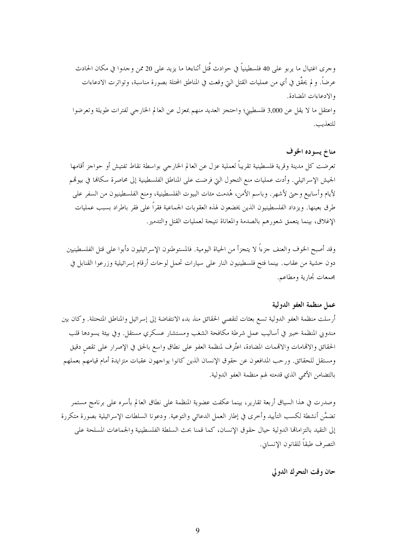وجرى اغتيال ما يربو على 40 فلسطينياً في حوادث قُتل أثناءها ما يزيد على 20 ممن وجدوا في مكان الحادث عرضاً. و لم يحقَّق في أي من عمليات القتل التي وقعت في المناطق المحتلة بصورة مناسبة، وتواترت الادعاءات والادعاءات المضادة. واعتقل ما لا يقل عن 3,000 فلسطيني؛ واحتجز العديد منهم بمعزل عن العالم الخارجي لفترات طويلة وتعرضوا للتعذيب.

### مناخ يسوده الخوف

تعرضت كل مدينة وقرية فلسطينية تقريباً لعملية عزل عن العالم الخارجي بواسطة نقاط تفتيش أو حواجز أقامها الجيش الإسرائيلي. وأدت عمليات منع التجول التي فرضت على المناطق الفلسطينية إلى محاصرة سكانها في بيوقمم لأيام وأسابيع وحتى لأشهر. وباسم الأمن، هُدمت مئات البيوت الفلسطينية، ومنع الفلسطينيون من السفر على طرق بعينها. ويزداد الفلسطينيون الذين يخضعون لهذه العقوبات الجماعية فقراً على فقر باطراد بسبب عمليات الإغلاق، بينما يتعمق شعورهم بالصدمة والمعاناة نتيجة لعمليات القتل والتدمير.

وقد أصبح الخوف والعنف جزءاً لا يتجزأ من الحياة اليومية. فالمستوطنون الإسرائيليون دأبوا على قتل الفلسطينيين دون خشية من عقاب. بينما فتح فلسطينيون النار على سيارات تحمل لوحات أرقام إسرائيلية وزرعوا القنابل في مجمعات تجارية ومطاعم.

### عمل منظمة العفو الدولية

أرسلت منظمة العفو الدولية تسع بعثات لتقصى الحقائق منذ بدء الانتفاضة إلى إسرائيل والمناطق المتحتلة. وكان بين مندوبي المنظمة حبير في أساليب عمل شرطة مكافحة الشغب ومستشار عسكري مستقل. وفي بيئة يسودها قلب الحقائق والاقمامات والاقممات المضادة، اعتُرف لمنظمة العفو على نطاق واسع بالحق في الإصرار على تقص دقيق ومستقل للحقائق. ورحب المدافعون عن حقوق الإنسان الذين كانوا يواجهون عقبات متزايدة أمام قيامهم بعملهم بالتضامن الأممي الذي قدمته لهم منظمة العفو الدولية.

وصدرت في هذا السياق أربعة تقارير، بينما عكفت عضوية المنظمة على نطاق العالم بأسره على برنامج مستمر تضمَّن أنشطة لكسب التأييد وأحرى في إطار العمل الدعائي والتوعية. ودعونا السلطات الإسرائيلية بصورة متكررة إلى التقيد بالتزاماقما الدولية حيال حقوق الإنسان، كما قمنا بحث السلطة الفلسطينية والجماعات المسلحة على التصرف طبقاً للقانون الإنساني.

حان وقت التحرك الدولي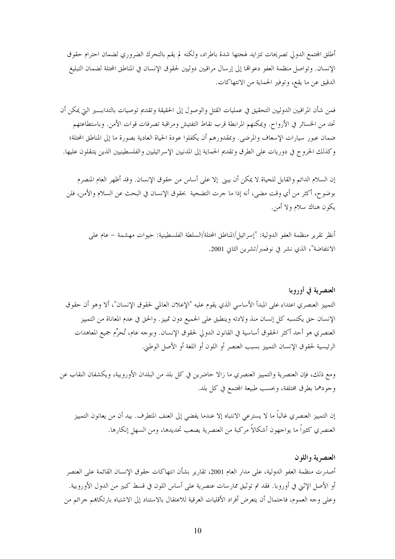أطلق المحتمع الدولي تصريحات تتزايد لهجتها شدة باطراد، ولكنه لم يقم بالتحرك الضروري لضمان احترام حقوق الإنسان. وتواصل منظمة العفو دعوالها إلى إرسال مراقبين دوليين لحقوق الإنسان في المناطق المحتلة لضمان التبليغ الدقيق عن ما يقع، وتوفير الحماية من الانتهاكات.

فمن شأن المراقبين الدوليين التحقيق في عمليات القتل والوصول إلى الحقيقة وتقديم توصيات بالتدابسير التي يمكن أن تحد من الخسائر في الأرواح. ويمكنهم المرابطة قرب نقاط التفتيش ومراقبة تصرفات قوات الأمن. وباستطاعتهم ضمان عبور سيارات الإسعاف والمرضى. وبمقدورهم أن يكفلوا عودة الحياة العادية بصورة ما إلى المناطق المحتلة؛ وكذلك الخروج في دوريات على الطرق وتقديم الحماية إلى المدنيين الإسرائيليين والفلسطينيين الذين يتنقلون عليها.

إن السلام الدائم والقابل للحياة لا يمكن أن يبني إلا على أساس من حقوق الإنسان. وقد أظهر العام المنصرم بوضوح، أكثر من أي وقت مضى، أنه إذا ما حرت التضحية بحقوق الإنسان في البحث عن السلام والأمن، فلن يكون هناك سلام ولا أمن.

أنظر تقرير منظمة العفو الدولية: "إسرائيل/المناطق المحتلة/السلطة الفلسطينية: حيوات مهشمة – عام على الانتفاضة"، الذي نشر في نوفمبر/تشرين الثاني 2001.

العنصرية في أوروبا التمييز العنصري اعتداء على المبدأ الأساسي الذي يقوم عليه "الإعلان العالمي لحقوق الإنسان"، ألا وهو أن حقوق الإنسان حق يكتسبه كل إنسان منذ ولادته وينطبق على الجميع دون تمييز. والحق في عدم المعاناة من التمييز العنصري هو أحد أكثر الحقوق أساسية في القانون الدولي لحقوق الإنسان. وبوجه عام، تُحرِّم جميع المعاهدات الرئيسية لحقوق الإنسان التمييز بسبب العنصر أو اللون أو اللغة أو الأصل الوطني.

ومع ذلك، فإن العنصرية والتمييز العنصري ما زالا حاضرين في كل بلد من البلدان الأوروبية، ويكشفان النقاب عن وجودهما بطرق مختلفة، وبحسب طبيعة المحتمع في كل بلد.

إن التمييز العنصري غالباً ما لا يسترعي الانتباه إلا عندما يفضي إلى العنف المتطرف. بيد أن من يعانون التمييز العنصري كثيراً ما يواجهون أشكالاً مركبة من العنصرية يصعب تحديدها، ومن السهل إنكارها.

العنصرية واللون أصدرت منظمة العفو الدولية، على مدار العام 2001، تقارير بشأن انتهاكات حقوق الإنسان القائمة على العنصر أو الأصل الإثني في أوروبا. فقد تم توثيق ممارسات عنصرية على أساس اللون في قسط كبير من الدول الأوروبية. وعلى وحه العموم، فاحتمال أن يتعرض أفراد الأقليات العرقية للاعتقال بالاستناد إلى الاشتباه بارتكاهم جرائم من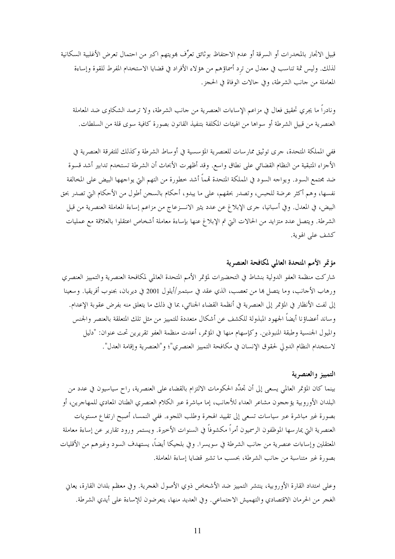قبيل الاتحار بالمخدرات أو السرقة أو عدم الاحتفاظ بوثائق تعرِّف هويتهم اكبر من احتمال تعرض الأغلبية السكانية لذلك. وليس ثمة تناسب في معدل من ترد أسماؤهم من هؤلاء الأفراد في قضايا الاستخدام المفرط للقوة وإساءة المعاملة من حانب الشرطة، وفي حالات الوفاة في الحجز.

ونادراً ما يجري تحقيق فعال في مزاعم الإساءات العنصرية من حانب الشرطة، ولا ترصد الشكاوى ضد المعاملة العنصرية من قبيل الشرطة أو سواها من الهيئات المكلفة بتنفيذ القانون بصورة كافية سوى قلة من السلطات.

ففي المملكة المتحدة، حرى توثيق ممارسات للعنصرية المؤسسية في أوساط الشرطة وكذلك للتفرقة العنصرية في الأجزاء المتبقية من النظام القضائي على نطاق واسع. وقد أظهرت الأبحاث أن الشرطة تستخدم تدابير أشد قسوة ضد مجتمع السود. ويواجه السود في المملكة المتحدة تمماً أشد خطورة من التهم التي يواجهها البيض على المخالفة نفسها، وهم أكثر عرضة للحبس، وتصدر بحقهم، على ما يبدو، أحكام بالسجن أطول من الأحكام التي تصدر بحق البيض، في المعدل. وفي أسبانيا، حرى الإبلاغ عن عدد يثير الانـــزعـاج من مزاعـم إساءة المعاملة العنصرية من قبل الشرطة. ويتصل عدد متزايد من الحالات التي تم الإبلاغ عنها بإساءة معاملة أشخاص اعتقلوا بالعلاقة مع عمليات كشف على الهوية.

# مؤتمر الأمم المتحدة العالمي لمكافحة العنصرية

شاركت منظمة العفو الدولية بنشاط في التحضيرات لمؤتمر الأمم المتحدة العالمي لمكافحة العنصرية والتمييز العنصري ورهاب الأجانب، وما يتصل ها من تعصب، الذي عقد في سبتمبر/أيلول 2001 في ديربان، بجنوب أفريقيا. وسعينا إلى لفت الأنظار في المؤتمر إلى العنصرية في أنظمة القضاء الجنائبي، بما في ذلك ما يتعلق منه بفرض عقوبة الإعدام. وساند أعضاؤنا أيضاً الجهود المبذولة للكشف عن أشكال متعددة للتمييز من مثل تلك المتعلقة بالعنصر والجنس والميول الجنسية وطبقة المنبوذين. وكإسهام منها في المؤتمر، أعدت منظمة العفو تقريرين تحت عنوان: "دليل لاستخدام النظام الدولي لحقوق الإنسان في مكافحة التمييز العنصري"؛ و"العنصرية وإقامة العدل".

### التمييز والعنصرية

بينما كان المؤتمر العالمي يسعى إلى أن تجدِّد الحكومات الالتزام بالقضاء على العنصرية، راح سياسيون في عدد من البلدان الأوروبية يؤججون مشاعر العداء للأجانب، إما مباشرة عبر الكلام العنصري الطنان المعادي للمهاجرين، أو بصورة غير مباشرة عبر سياسات تسعى إلى تقييد الهجرة وطلب اللجوء. ففي النمسا، أصبح ارتفاع مستويات العنصرية التي يمارسها الموظفون الرسميون أمراً مكشوفاً في السنوات الأخيرة. ويستمر ورود تقارير عن إساءة معاملة المعتقلين وإساءات عنصرية من حانب الشرطة في سويسرا. وفي بلجيكا أيضاً، يستهدف السود وغيرهم من الأقليات بصورة غير متناسبة من حانب الشرطة، بحسب ما تشير قضايا إساءة المعاملة.

وعلى امتداد القارة الأوروبية، ينتشر التمييز ضد الأشخاص ذوي الأصول الغجرية. وفي معظم بلدان القارة، يعاني الغجر من الحرمان الاقتصادي والتهميش الاجتماعي. وفي العديد منها، يتعرضون للإساءة على أيدي الشرطة.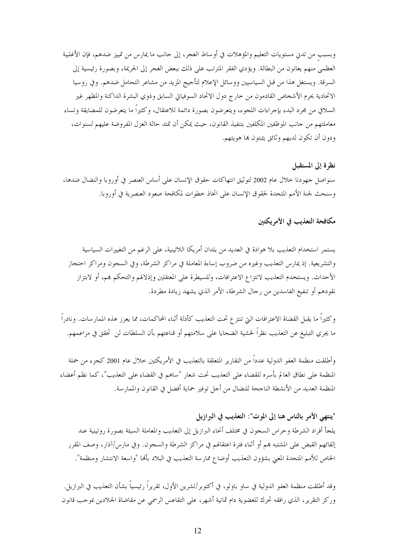وبسبب من تدني مستويات التعليم والمؤهلات في أوساط الغجر، إلى حانب ما يمارس من تمييز ضدهم، فإن الأغلبية العظمى منهم يعانون من البطالة. ويؤدي الفقر المترتب على ذلك ببعض الغجر إلى الجريمة، وبصورة رئيسية إلى السرقة. ويستغل هذا من قبل السياسيين ووسائل الإعلام لتأجيج المزيد من مشاعر التحامل ضدهم. وفي روسيا الاتحادية يحرم الأشخاص القادمون من حارج دول الاتحاد السوفياتي السابق وذوي البشرة الداكنة والمظهر غير السلافي من مجرد البدء بإجراءات اللجوء، ويتعرضون بصورة دائمة للاعتقال، وكثيراً ما يتعرضون للمضايقة وتساء معاملتهم من حانب الموظفين المكلفين بتنفيذ القانون، حيث يمكن أن تمتد حالة العزل المفروضة عليهم لسنوات، ودون أن تكون لديهم وثائق يثبتون ها هويتهم.

نظرة إلى المستقبل سنواصل حهودنا حلال عام 2002 لتوثيق انتهاكات حقوق الإنسان على أساس العنصر في أوروبا والنضال ضدها، وسنحث لجنة الأمم المتحدة لحقوق الإنسان على اتخاذ خطوات لمكافحة صعود العنصرية في أوروبا.

# مكافحة التعذيب في الأمريكتين

يستمر استخدام التعذيب بلا هوادة في العديد من بلدان أمريكا اللاتينية، على الرغم من التغييرات السياسية والتشريعية. إذ يمارس التعذيب وغيره من ضروب إساءة المعاملة في مراكز الشرطة، وفي السجون ومراكز احتجاز الأحداث. ويستخدم التعذيب لانتزاع الاعترافات، وللسيطرة على المعتقلين وإذلالهم والتحكم هم، أو لابتزاز نقودهم أو تنفيع الفاسدين من رحال الشرطة، الأمر الذي يشهد زيادة مطردة.

وكثيراً ما يقبل القضاة الاعترافات التي تنتزع تحت التعذيب كأدلة أثناء المحاكمات، مما يعزز هذه الممارسات. ونادراً ما يجرى التبليغ عن التعذيب نظراً لحنشية الضحايا على سلامتهم أو قناعتهم بأن السلطات لن تحقق في مزاعمهم.

وأطلقت منظمة العفو الدولية عدداً من التقارير المتعلقة بالتعذيب في الأمريكتين خلال عام 2001 كجزء من حملة المنظمة على نطاق العالم بأسره للقضاء على التعذيب تحت شعار "ساهم في القضاء على التعذيب"، كما نظم أعضاء المنظمة العديد من الأنشطة الناجحة للنضال من أحل توفير حماية أفضل في القانون والممارسة.

"ينتهي الأمر بالناس هنا إلى الموت": التعذيب في البرازيل يلجأ أفراد الشرطة وحراس السحون في مختلف أنحاء البرازيل إلى التعذيب والمعاملة السيئة بصورة روتينية عند إلقائهم القبض على المشتبه هم أو أثناء فترة اعتقالهم في مراكز الشرطة والسجون. وفي مارس/آذار، وصف المقرر الخاص للأمم المتحدة المعني بشؤون التعذيب أوضاع ممارسة التعذيب في البلاد بألها "واسعة الانتشار ومنظمة".

وقد أطلقت منظمة العفو الدولية في ساو باولو، في أكتوبر/تشرين الأول، تقريراً رئيسياً بشأن التعذيب في البرازيل. وركز التقرير، الذي رافقه تحرك للعضوية دام ثمانية أشهر، على التقاعس الرسمي عن مقاضاة الجلادين بموحب قانون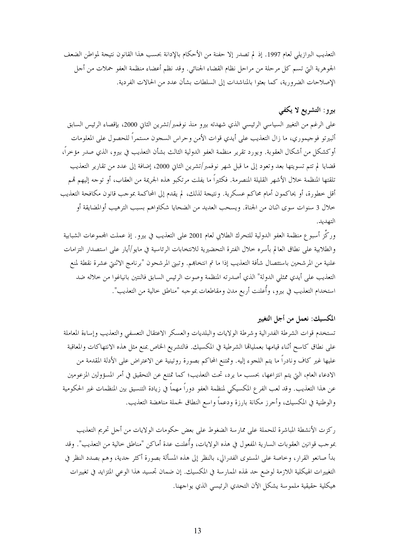التعذيب البرازيلي لعام 1997. إذ لم تصدر إلا حفنة من الأحكام بالإدانة بحسب هذا القانون نتيجة لمواطن الضعف الجوهرية التيّ تسم كلّ مرحلة من مراحل نظام القضاء الجنائبي. وقد نظم أعضاء منظمة العفو حملات من أحل الإصلاحات الضرورية، كما بعثوا بالمناشدات إلى السلطات بشأن عدد من الحالات الفردية.

# بيرو: التشريع لا يكفي

على الرغم من التغيير السياسي الرئيسي الذي شهدته بيرو منذ نوفمبر/تشرين الثاني 2000، بإقصاء الرئيس السابق ألبيرتو فوجيموري، ما زال التعذيب على أيدي قوات الأمن وحراس السجون مستمراً للحصول على المعلومات أوكشكل من أشكال العقوبة. ويورد تقرير منظمة العفو الدولية الثالث بشأن التعذيب في بيرو، الذي صدر مؤخراً، قضايا لم تتم تسويتها بعد وتعود إلى ما قبل شهر نوفمبر/تشرين الثاني 2000، إضافة إلى عدد من تقارير التعذيب تلقتها المنظمة حلال الأشهر القليلة المنصرمة. فكثيراً ما يفلت مرتكبو هذه الجريمة من العقاب، أو توحه إليهم قمم أقل خطورة، أو يحاكمون أمام محاكم عسكرية. ونتيجة لذلك، لم يقدم إلى المحاكمة بموجب قانون مكافحة التعذيب خلال 3 سنوات سوى اثنان من الجناة. ويسحب العديد من الضحايا شكاواهم بسبب الترهيب أوالمضايقة أو التهديد.

وركَّز أسبوع منظمة العفو الدولية للتحرك الطلابي لعام 2001 على التعذيب في بيرو . إذ عملت المحموعات الشبابية والطلابية على نطاق العالم بأسره حلال الفترة التحضيرية للانتخابات الرئاسية في مايو/أيار على استصدار التزامات علنية من المرشحين باستئصال شأفة التعذيب إذا ما تم انتخاهم. وتبني المرشحون "برنامج الاثنتي عشرة نقطة لمنع التعذيب على أيدي ممثلي الدولة" الذي أصدرته المنظمة وصوت الرئيس السابق فالنتين بانياغوا من خلاله ضد استخدام التعذيب في بيرو، وأُعلنت أربع مدن ومقاطعات بموجبه "مناطق خالية من التعذيب".

# المكسيك: نعمل من أجل التغيير

تستخدم قوات الشرطة الفدرالية وشرطة الولايات والبلديات والعسكر الاعتقال التعسفي والتعذيب وإساءة المعاملة على نطاق كاسح أثناء قيامها بعمليالها الشرطية في المكسيك. فالتشريع الخاص بمنع مثل هذه الانتهاكات والمعاقبة عليها غير كاف ونادراً ما يتم اللجوء إليه. وتمتنع المحاكم بصورة روتينية عن الاعتراض على الأدلة المقدمة من الادعاء العام، التي يتم انتزاعها، بحسب ما يرد، تحت التعذيب؛ كما تمتنع عن التحقيق في أمر المسؤولين المزعومين عن هذا التعذيب. وقد لعب الفر ع المكسيكي لمنظمة العفو دوراً مهماً في زيادة التنسيق بين المنظمات غير الحكومية والوطنية في المكسيك، وأحرز مكانة بارزة ودعماً واسع النطاق لحملة مناهضة التعذيب.

ركزت الأنشطة المباشرة للحملة على ممارسة الضغوط على بعض حكومات الولايات من أجل تحريم التعذيب بموجب قوانين العقوبات السارية المفعول في هذه الولايات، وأُعلنت عدة أماكن "مناطق خالية من التعذيب". وقد بدأ صانعو القرار، وخاصة على المستوى الفدرالي، بالنظر إلى هذه المسألة بصورة أكثر حدية، وهم بصدد النظر في التغييرات الهيكلية اللازمة لوضع حد لهذه الممارسة في المكسيك. إن ضمان تجسيد هذا الوعى المتزايد في تغييرات هيكلية حقيقية ملموسة يشكل الآن التحدي الرئيسي الذي يواجهنا.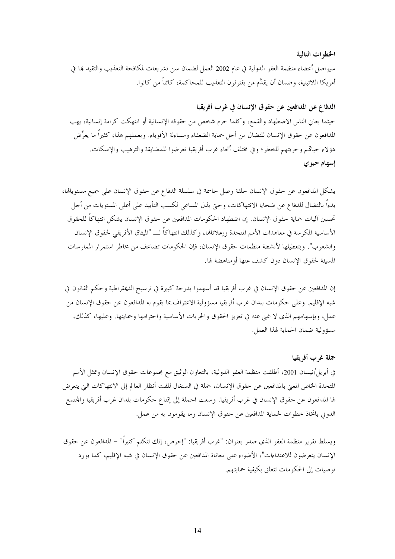#### الخطوات التالية

سيواصل أعضاء منظمة العفو الدولية في عام 2002 العمل لضمان سن تشريعات لمكافحة التعذيب والتقيد بما في أمريكا اللاتينية، وضمان أن يقدَّم من يقترفون التعذيب للمحاكمة، كائناً من كانوا.

# الدفاع عن المدافعين عن حقوق الإنسان في غرب أفريقيا حيثما يعاني الناس الاضطهاد والقمع، وكلما حرم شخص من حقوقه الإنسانية أو انتهكت كرامة إنسانية، يهب المدافعون عن حقوق الإنسان للنضال من أجل حماية الضعفاء ومساءلة الأقوياء. وبعملهم هذا، كثيراً ما يعرِّض هؤلاء حياقمم وحريتهم للخطر؛ وفي مختلف أنحاء غرب أفريقيا تعرضوا للمضايقة والترهيب والإسكات.

### إسهام حيوي

يشكل المدافعون عن حقوق الإنسان حلقة وصل حاسمة في سلسلة الدفاع عن حقوق الإنسان على جميع مستوياقما، بدءاً بالنضال للدفاع عن ضحايا الانتهاكات، وحتى بذل المساعي لكسب التأييد على أعلى المستويات من أحل تحسين آليات حماية حقوق الإنسان. إن اضطهاد الحكومات المدافعين عن حقوق الإنسان يشكل انتهاكًا للحقوق الأساسية المكرسة في معاهدات الأمم المتحدة وإعلاناتها، وكذلك انتهاكاً لـــ "الميثاق الأفريقي لحقوق الإنسان والشعوب". وبتعطيلها لأنشطة منظمات حقوق الإنسان، فإن الحكومات تضاعف من مخاطر استمرار الممارسات المسيئة لحقوق الإنسان دون كشف عنها أومناهضة لها.

إن المدافعين عن حقوق الإنسان في غرب أفريقيا قد أسهموا بدرجة كبيرة في ترسيخ الديمقراطية وحكم القانون في شبه الإقليم. وعلى حكومات بلدان غرب أفريقيا مسؤولية الاعتراف بما يقوم به المدافعون عن حقوق الإنسان من عمل، وبإسهامهم الذي لا غين عنه في تعزيز الحقوق والحريات الأساسية واحترامها وحمايتها. وعليها، كذلك، مسؤولية ضمان الحماية لهذا العمل.

### حملة غرب أفريقيا

في أبريل/نيسان 2001، أطلقت منظمة العفو الدولية، بالتعاون الوثيق مع مجموعات حقوق الإنسان وممثل الأمم المتحدة الخاص المعنى بالمدافعين عن حقوق الإنسان، حملة في السنغال للفت أنظار العالم إلى الانتهاكات التي يتعرض لها المدافعون عن حقوق الإنسان في غرب أفريقيا. وسعت الحملة إلى إقناع حكومات بلدان غرب أفريقيا والمحتمع الدولي باتخاذ خطوات لحماية المدافعين عن حقوق الإنسان وما يقومون به من عمل.

ويسلط تقرير منظمة العفو الذي صدر بعنوان: "غرب أفريقيا: "إحرص، إنك تتكلم كثيراً" – المدافعون عن حقوق الإنسان يتعرضون للاعتداءات"، الأضواء على معاناة المدافعين عن حقوق الإنسان في شبه الإقليم، كما يورد توصيات إلى الحكومات تتعلق بكيفية حمايتهم.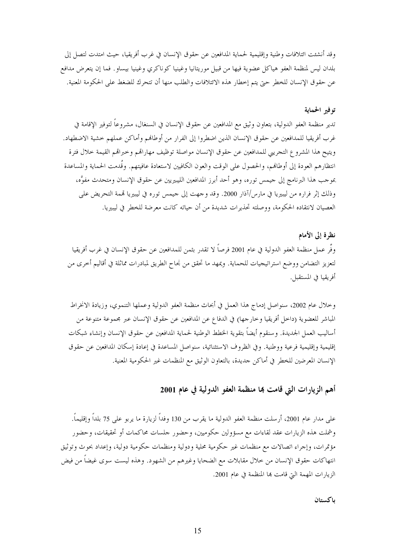وقد أنشئت ائتلافات وطنية وإقليمية لحماية المدافعين عن حقوق الإنسان في غرب أفريقيا، حيث امتدت لتصل إلى بلدان ليس لمنظمة العفو هياكل عضوية فيها من قبيل موريتانيا وغينيا كوناكري وغينيا بيساو فما إن يتعرض مدافع عن حقوق الإنسان للخطر حتى يتم إخطار هذه الائتلافات والطلب منها أن تتحرك للضغط على الحكومة المعنية.

### توفير الحماية

تدير منظمة العفو الدولية، بتعاون وثيق مع المدافعين عن حقوق الإنسان في السنغال، مشروعاً لتوفير الإقامة في غرب أفريقيا للمدافعين عن حقوق الإنسان الذين اضطروا إلى الفرار من أوطالهم وأماكن عملهم خشية الاضطهاد. ويتيح هذا المشروع التحريبي للمدافعين عن حقوق الإنسان مواصلة توظيف مهاراقمم وحبراقمم القيمة خلال فترة انتظارهم العودة إلى أوطالهم، والحصول على الوقت والعون الكافيين لاستعادة عافيتهم. وقُدمت الحماية والمساعدة بموجب هذا البرنامج إلى جيمس توره، وهو أحد أبرز المدافعين الليبيريين عن حقوق الإنسان ومتحدث مفوَّه، وذلك إثر فراره من ليبيريا في مارس/آذار 2000. وقد وجهت إلى جيمس توره في ليبيريا قممة التحريض على العصيان لانتقاده الحكومة، ووصلته تحذيرات شديدة من أن حياته كانت معرضة للخطر في ليبيريا.

نظرة إلى الأمام وفَّر عمل منظمة العفو الدولية في عام 2001 فرصاً لا تقدر بثمن للمدافعين عن حقوق الإنسان في غرب أفريقيا لتعزيز التضامن ووضع استراتيجيات للحماية. ويمهد ما تحقق من نجاح الطريق لمبادرات مماثلة في أقاليم أخرى من أفريقيا في المستقبل.

وخلال عام 2002، سنواصل إدماج هذا العمل في أبحاث منظمة العفو الدولية وعملها التنموي، وزيادة الانخراط المباشر للعضوية (داخل أفريقيا وخارجها) في الدفاع عن المدافعين عن حقوق الإنسان عبر مجموعة متنوعة من أساليب العمل الجديدة. وسنقوم أيضاً بتقوية الخطط الوطنية لحماية المدافعين عن حقوق الإنسان وإنشاء شبكات إقليمية وإقليمية فرعية ووطنية. وفي الظروف الاستثنائية، سنواصل المساعدة في إعادة إسكان المدافعين عن حقوق الإنسان المعرضين للخطر في أماكن جديدة، بالتعاون الوثيق مع المنظمات غير الحكومية المعنية.

# أهم الزيارات التي قامت بما منظمة العفو الدولية في عام 2001

على مدار عام 2001، أرسلت منظمة العفو الدولية ما يقرب من 130 وفداً لزيارة ما يربو على 75 بلداً وإقليماً. وشملت هذه الزيارات عقد لقاءات مع مسؤولين حكوميين، وحضور حلسات محاكمات أو تحقيقات، وحضور مؤتمرات، وإجراء اتصالات مع منظمات غير حكومية محلية ودولية ومنظمات حكومية دولية، وإعداد بحوث وتوثيق انتهاكات حقوق الإنسان من حلال مقابلات مع الضحايا وغيرهم من الشهود. وهذه ليست سوى غيضاً من فيض الزيارات المهمة التي قامت هما المنظمة في عام 2001.

#### باكستان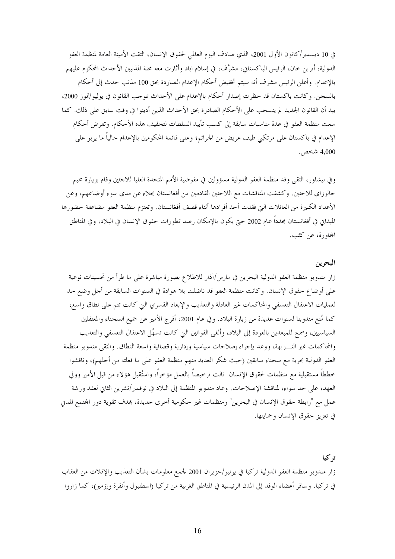في 10 ديسمبر/كانون الأول 2001، الذي صادف اليوم العالمي لحقوق الإنسان، التقت الأمينة العامة لمنظمة العفو الدولية، أيرين حان، الرئيس الباكستاني، مشرَّف، في إسلام اباد وأثارت معه محنة المذنبين الأحداث المحكوم عليهم بالإعدام. وأعلن الرئيس مشرف أنه سيتم تخفيض أحكام الإعدام الصاردة بحق 100 مذنب حدث إلى أحكام بالسجن. وكانت باكستان قد حظرت إصدار أحكام بالإعدام على الأحداث بموجب القانون في يوليو/تموز 2000، بيد أن القانون الجديد لم ينسحب على الأحكام الصادرة بحق الأحداث الذين أدينوا في وقت سابق على ذلك. كما سعت منظمة العفو في عدة مناسبات سابقة إلى كسب تأييد السلطات لتخفيف هذه الأحكام. وتفرض أحكام الإعدام في باكستان على مرتكبي طيف عريض من الجرائم؛ وعلى قائمة المحكومين بالإعدام حالياً ما يربو على 4,000 شخص.

وفي بيشاور، التقى وفد منظمة العفو الدولية مسؤولين في مفوضية الأمم المتحدة العليا للاجئين وقام بزيارة مخيم جالوزاي للاجئين. وكشفت المناقشات مع اللاجئين القادمين من أفغانستان بجلاء عن مدى سوء أوضاعهم، وعن الأعداد الكبيرة من العائلات التي فقدت أحد أفرادها أثناء قصف أفغانستان. وتعتزم منظمة العفو مضاعفة حضورها الميداني في أفغانستان مجدداً عام 2002 حتى يكون بالإمكان رصد تطورات حقوق الإنسان في البلاد، وفي المناطق المحاورة، عن كثب.

# البحوين

تہ کیا

زار مندوبو منظمة العفو الدولية البحرين في مارس/آذار للاطلاع بصورة مباشرة على ما طرأ من تحسينات نوعية على أوضاع حقوق الإنسان. وكانت منظمة العفو قد ناضلت بلا هوادة في السنوات السابقة من أجل وضع حد لعمليات الاعتقال التعسفي والمحاكمات غير العادلة والتعذيب والإبعاد القسري التي كانت تتم على نطاق واسع، كما مُنع مندوبنا لسنوات عديدة من زيارة البلاد. وفي عام 2001، أفرج الأمير عن جميع السجناء والمعتقلين السياسيين، وسمح للمبعدين بالعودة إلى البلاد، وألغي القوانين التي كانت تسهِّل الاعتقال التعسفي والتعذيب والمحاكمات غير النسزيهة، ووعد بإجراء إصلاحات سياسية وإدارية وقضائية واسعة النطاق. والتقى مندوبو منظمة العفو الدولية بحرية مع سجناء سابقين (حيث شكر العديد منهم منظمة العفو على ما فعلته من أجلهم)، وناقشوا خططاً مستقبلية مع منظمات لحقوق الإنسان نالت ترخيصاً بالعمل مؤخراً، واستُقبل هؤلاء من قبل الأمير وولى العهد، على حد سواء، لمناقشة الإصلاحات. وعاد مندوبو المنظمة إلى البلاد في نوفمبر/تشرين الثاني لعقد ورشة عمل مع "رابطة حقوق الإنسان في البحرين" ومنظمات غير حكومية أخرى جديدة، هدف تقوية دور المحتمع المدني في تعزيز حقوق الإنسان وحمايتها.

زار مندوبو منظمة العفو الدولية تركيا في يونيو/حزيران 2001 لجمع معلومات بشأن التعذيب والإفلات من العقاب في تركيا. وسافر أعضاء الوفد إلى المدن الرئيسية في المناطق الغربية من تركيا (اسطنبول وأنقرة وإزمير)، كما زاروا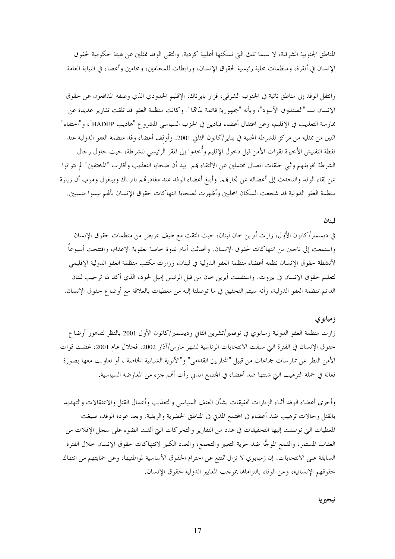المناطق الجنوبية الشرقية، لا سيما تلك التي تسكنها أغلبية كردية. والتقى الوفد ممثلين عن هيئة حكومية لحقوق الإنسان في أنقرة، ومنظمات محلية رئيسية لحقوق الإنسان، ورابطات للمحامين، ومحامين وأعضاء في النيابة العامة.

وانتقل الوفد إلى مناطق نائية في الجنوب الشرقي، فزار بايرناك، الإقليم الحدودي الذي وصفه المدافعون عن حقوق الإنسان بــ "الصندوق الأسود"، وبأنه "جمهورية قائمة بذامّا". وكانت منظمة العفو قد تلقت تقارير عديدة عن ممارسة التعذيب في الإقليم، وعن اعتقال أعضاء قيادين في الحزب السياسي المشروع "هاديب HADEP"، و"اختفاء" اثنين من ممثليه من مركز للشرطة المحلية في يناير/كانون الثاني 2001. وأوقف أعضاء وفد منظمة العفو الدولية عند نقطة التفتيش الأخيرة لقوات الأمن قبل دخول الإقليم وأخذوا إلى المقر الرئيسى للشرطة، حيث حاول رجال الشرطة تخويفهم وثني حلقات اتصال محتملين عن الالتقاء هم. بيد أن ضحايا التعذيب وأقارب "المختفين" لم يتوانوا عن لقاء الوفد والتحدث إلى أعضائه عن تجارهم. وأبلغ أعضاء الوفد عند مغادرتمم بايرناك وبينغول وموب أن زيارة منظمة العفو الدولية قد شجعت السكان المحليين وأظهرت لضحايا انتهاكات حقوق الإنسان بأفمم ليسوا منسيين.

#### لينان

في ديسمبر/كانون الأول، زارت أيرين حان لبنان، حيث التقت مع طيف عريض من منظمات حقوق الإنسان واستمعت إلى ناجين من انتهاكات لحقوق الإنسان. وتحدثت أمام ندوة حاصة بعقوبة الإعدام، وافتتحت أسبوعاً لأنشطة حقوق الإنسان نظمه أعضاء منظمة العفو الدولية في لبنان، وزارت مكتب منظمة العفو الدولية الإقليمي لتعليم حقوق الإنسان في بيروت. واستقبلت أيرين خان من قبل الرئيس إميل لحود، الذي أكد لها ترحيب لبنان الدائم بمنظمة العفو الدولية، وأنه سيتم التحقيق في ما توصلنا إليه من معطيات بالعلاقة مع أوضاع حقوق الإنسان.

### ز مبابو ی

زارت منظمة العفو الدولية زمبابوي في نوفمبر/تشرين الثابي وديسمبر/كانون الأول 2001 بالنظر لتدهور أوضاع حقوق الإنسان في الفترة التي سبقت الانتخابات الرئاسية لشهر مارس/آذار 2002. فخلال عام 2001، غضت قوات الأمن النظر عن ممارسات جماعات من قبيل "المحاربين القدامي" و"الألوية الشبابية الخاصة"، أو تعاونت معها بصورة فعالة في حملة الترهيب التي شنتها ضد أعضاء في المحتمع المدنى رأت ألهم جزء من المعارضة السياسية.

وأجرى أعضاء الوفد أثناء الزيارات تحقيقات بشأن العنف السياسي والتعذيب وأعمال القتل والاعتقالات والتهديد بالقتل وحالات ترهيب ضد أعضاء في المحتمع المدن في المناطق الحضرية والريفية. وبعد عودة الوفد، صيغت المعطيات التي توصلت إليها التحقيقات في عدد من التقارير والتحركات التي ألقت الضوء على سحل الإفلات من العقاب المستمر، والقمع الموجَّه ضد حرية التعبير والتجمع، والعدد الكبير لانتهاكات حقوق الإنسان حلال الفترة السابقة على الانتخابات. إن زمبابوي لا تزال تمتنع عن احترام الحقوق الأساسية لمواطنيها، وعن حمايتهم من انتهاك حقوقهم الإنسانية، وعن الوفاء بالتزاماتها بموجب المعايير الدولية لحقوق الإنسان.

نيجير يا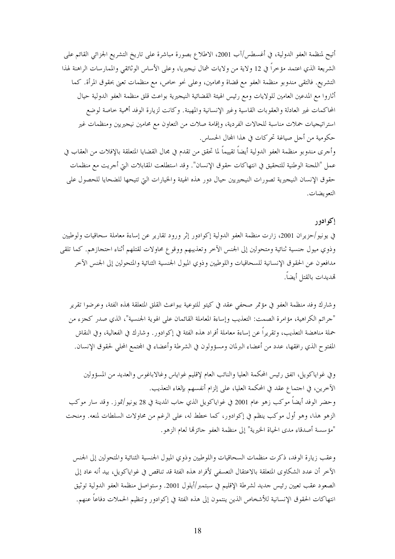أتيح لمنظمة العفو الدولية، في أغسطس/آب 2001، الاطلاع بصورة مباشرة على تاريخ التشريع الجزائي القائم على الشريعة الذي اعتمد مؤخراً في 12 ولاية من ولايات شمال نيجيريا، وعلى الأساس الوثائقي والممارسات الراهنة لهذا التشريع. فالتقى مندوبو منظمة العفو مع قضاة ومحامين، وعلى نحو حاص، مع منظمات تعني بحقوق المرأة. كما أثاروا مع المدعين العامين للولايات ومع رئيس الهيئة القضائية النيجيرية بواعث قلق منظمة العفو الدولية حيال المحاكمات غير العادلة والعقوبات القاسية وغير الإنسانية والمهينة. وكانت لزيارة الوفد أهمية حاصة لوضع استراتيجيات حملات مناسبة للحالات الفردية، وإقامة صلات من التعاون مع محامين نيجيريين ومنظمات غير حكومية من أجل صياغة تحركات في هذا المحال الحساس.

وأجرى مندوبو منظمة العفو الدولية أيضاً تقييماً لما تحقق من تقدم في مجال القضايا المتعلقة بالإفلات من العقاب في عمل "اللجنة الوطنية للتحقيق في انتهاكات حقوق الإنسان". وقد استطلعت المقابلات التي أجريت مع منظمات حقوق الإنسان النيجيرية تصورات النيجيريين حيال دور هذه الهيئة والخيارات التي تتيحها للضحايا للحصول على التعو يضات.

### إكوادور

في يونيو/حزيران 2001، زارت منظمة العفو الدولية إكوادور إثر ورود تقارير عن إساءة معاملة سحاقيات ولوطيين وذوي ميول حنسية ثنائية ومتحولين إلى الجنس الآخر وتعذيبهم ووقوع محاولات لقتلهم أثناء احتحازهم. كما تلقى مدافعون عن الحقوق الإنسانية للسحاقيات واللوطيين وذوي الميول الجنسية الثنائية والمتحولين إلى الجنس الآخر تهديدات بالقتل أيضاً.

وشارك وفد منظمة العفو في مؤتمر صحفي عقد في كيتو للتوعية ببواعث القلق المتعلقة بمذه الفئة، وعرضوا تقرير "جرائم الكراهية، مؤامرة الصمت: التعذيب وإساءة المعاملة القائمان على الهوية الجنسية"، الذي صدر كجزء من حملة مناهضة التعذيب، وتقريراً عن إساءة معاملة أفراد هذه الفئة في إكوادور . وشارك في الفعالية، وفي النقاش المفتوح الذي رافقها، عدد من أعضاء البرلمان ومسؤولون في الشرطة وأعضاء في المحتمع المحلي لحقوق الإنسان.

وفي غواياكويل، اتفق رئيس المحكمة العليا والنائب العام لإقليم غواياس وغالاباغوس والعديد من المسؤولين الآخرين، في احتماع عقد في المحكمة العليا، على إلزام أنفسهم بإلغاء التعذيب. وحضر الوفد أيضاً موكب زهو عام 2001 في غواياكويل الذي حاب المدينة في 28 يونيو/تموز. وقد سار موكب الزهو هذا، وهو أول موكب ينظم في إكوادور، كما خطط له، على الرغم من محاولات السلطات لمنعه. ومنحت "مؤسسة أصدقاء مدى الحياة الخيرية" إلى منظمة العفو حائزتما لعام الزهو .

وعقب زيارة الوفد، ذكرت منظمات السحاقيات واللوطيين وذوي الميول الجنسية الثنائية والمتحولين إلى الجنس الآخر أن عدد الشكاوي المتعلقة بالاعتقال التعسفي لأفراد هذه الفئة قد تناقص في غواياكويل، بيد أنه عاد إلى الصعود عقب تعيين رئيس حديد لشرطة الإقليم في سبتمبر/أيلول 2001. وستواصل منظمة العفو الدولية توثيق انتهاكات الحقوق الإنسانية للأشخاص الذين ينتمون إلى هذه الفئة في إكوادور وتنظيم الحملات دفاعاً عنهم.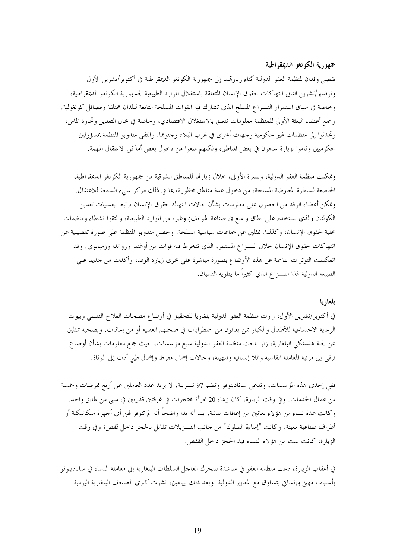# جمهورية الكونغو الديمقراطية

تقصى وفدان لمنظمة العفو الدولية أثناء زيارتهما إلى جمهورية الكونغو الديمقراطية في أكتوبر/تشرين الأول ونوفمبر/تشرين الثاني انتهاكات حقوق الإنسان المتعلقة باستغلال الموارد الطبيعية لجمهورية الكونغو الديمقراطية، وخاصة في سياق استمرار النـــزاع المسلح الذي تشارك فيه القوات المسلحة التابعة لبلدان مختلفة وفصائل كونغولية. وجمع أعضاء البعثة الأولى للمنظمة معلومات تتعلق بالاستغلال الاقتصادي، وخاصة في مجال التعدين وتحارة الماس، وتحدثوا إلى منظمات غير حكومية وجهات أحرى في غرب البلاد وحنوها. والتقى مندوبو المنظمة بمسؤولين حكوميين وقاموا بزيارة سجون في بعض المناطق، ولكنهم منعوا من دخول بعض أماكن الاعتقال المهمة.

وتمكنت منظمة العفو الدولية، وللمرة الأولى، حلال زيارها للمناطق الشرقية من جمهورية الكونغو الديمقراطية، الخاضعة لسيطرة المعارضة المسلحة، من دحول عدة مناطق محظورة، بما في ذلك مركز سيء السمعة للاعتقال. وتمكن أعضاء الوفد من الحصول على معلومات بشأن حالات انتهاك لحقوق الإنسان ترتبط بعمليات تعدين الكولتان (الذي يستخدم على نطاق واسع في صناعة الهواتف) وغيره من الموارد الطبيعية، والتقوا نشطاء ومنظمات محلية لحقوق الإنسان، وكذلك ممثلين عن جماعات سياسية مسلحة. وحصل مندوبو المنظمة على صورة تفصيلية عن انتهاكات حقوق الإنسان حلال النسزاع المستمر، الذي تنخرط فيه قوات من أوغندا ورواندا وزمبابوي. وقد انعكست التوترات الناجمة عن هذه الأوضاع بصورة مباشرة على مجرى زيارة الوفد، وأكدت من جديد على الطبيعة الدولية لهذا النـــزاع الذي كثيراً ما يطويه النسيان.

#### بلغاريا

في أكتوبر/تشرين الأول، زارت منظمة العفو الدولية بلغاريا للتحقيق في أوضاع مصحات العلاج النفسي وبيوت الرعاية الاجتماعية للأطفال والكبار ممن يعانون من اضطرابات في صحتهم العقلية أو من إعاقات. وبصحبة ممثلين عن لجنة هلسنكي البلغارية، زار باحث منظمة العفو الدولية سبع مؤسسات، حيث جمع معلومات بشأن أوضاع ترقى إلى مرتبة المعاملة القاسية واللا إنسانية والمهينة، وحالات إهمال مفرط وإهمال طبي أدت إلى الوفاة.

ففي إحدى هذه المؤسسات، وتدعى سانادينوفو وتضم 97 نــزيلة، لا يزيد عدد العاملين عن أربع ممرضات وخمسة من عمال الخدمات. وفي وقت الزيارة، كان زهاء 20 امرأة محتجزات في غرفتين قذرتين في مبني من طابق واحد. وكانت عدة نساء من هؤلاء يعانين من إعاقات بدنية، بيد أنه بدا واضحاً أنه لم تتوفر لهن أي أجهزة ميكانيكية أو أطراف صناعية معينة. وكانت "إساءة السلوك" من حانب النـــزيلات تقابل بالحجز داخل قفص؛ وفي وقت الزيارة، كانت ست من هؤلاء النساء قيد الحجز داخل القفص.

في أعقاب الزيارة، دعت منظمة العفو في مناشدة للتحرك العاجل السلطات البلغارية إلى معاملة النساء في سانادينوفو بأسلوب مهين وإنساني يتساوق مع المعايير الدولية. وبعد ذلك بيومين، نشرت كبرى الصحف البلغارية اليومية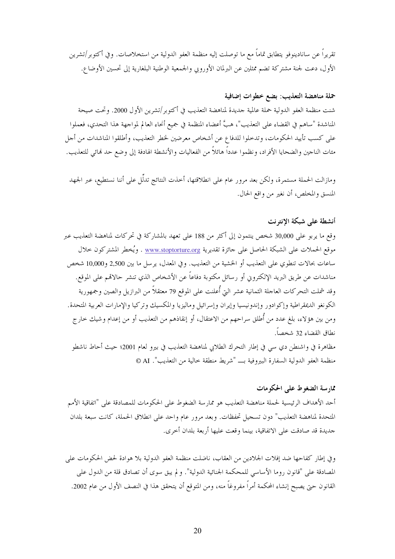تقريراً عن سانادينوفو يتطابق تماماً مع ما توصلت إليه منظمة العفو الدولية من استخلاصات. وفي أكتوبر/تشرين الأول، دعت لجنة مشتركة تضم ممثلين عن البرلمان الأوروبي والجمعية الوطنية البلغارية إلى تحسين الأوضاع.

# حملة مناهضة التعذيب: بضع خطوات إضافية

شنت منظمة العفو الدولية حملة عالمية حديدة لمناهضة التعذيب في أكتوبر/تشرين الأول 2000. وتحت صيحة المناشدة "ساهم في القضاء على التعذيب"، هبَّ أعضاء المنظمة في جميع أنحاء العالم لمواجهة هذا التحدي، فعملوا على كسب تأييد الحكومات، وتدخلوا للدفاع عن أشخاص معرضين لخطر التعذيب، وأطلقوا المناشدات من أحل مئات الناجين والضحايا الأفراد، ونظموا عدداً هائلاً من الفعاليات والأنشطة الهادفة إلى وضع حد نمائي للتعذيب.

ومازالت الحملة مستمرة، ولكن بعد مرور عام على انطلاقتها، أخذت النتائج تدلُّل على أننا نستطيع، عبر الجهد المنسق والمخلص، أن نغير من واقع الحال.

### أنشطة على شبكة الإنترنت

وقع ما يربو على 30,000 شخص ينتمون إلى أكثر من 188 على تعهد بالمشاركة في تحركات لمناهضة التعذيب عبر موقع الحملات على الشبكة الحاصل على حائزة تقديرية www.stoptorture.org . ويُخطر المشتركون حلال ساعات بحالات تنطوي على التعذيب أو الخشية من التعذيب. وفي المعدل، يرسل ما بين 2,500 و10,000 شخص مناشدات عن طريق البريد الإلكتروني أو رسائل مكتوبة دفاعاً عن الأشخاص الذي تنشر حالاقمم على الموقع. وقد شملت التحركات العاجلة الثمانية عشر التي أُعلنت على الموقع 79 معتقلاً من البرازيل والصين وجمهورية الكونغو الديمقراطية وإكوادور وإندونيسيا وإيران وإسرائيل وماليزيا والمكسيك وتركيا والإمارات العربية المتحدة. ومن بين هؤلاء، بلغ عدد من أُطلق سراحهم من الاعتقال، أو إنقاذهم من التعذيب أو من إعدام وشيك حارج نطاق القضاء 32 شخصاً.

مظاهرة في واشنطن دي سي في إطار التحرك الطلابي لمناهضة التعذيب في بيرو لعام 2001؛ حيث أحاط ناشطو منظمة العفو الدولية السفارة البيروفية بــ "شريط منطقة حالية من التعذيب". AI ©

### ممارسة الضغوط على الحكومات

أحد الأهداف الرئيسية لحملة مناهضة التعذيب هو ممار سة الضغوط على الحكومات للمصادقة على "اتفاقية الأمم المتحدة لمناهضة التعذيب" دون تسجيل تحفظات. وبعد مرور عام واحد على انطلاق الحملة، كانت سبعة بلدان جديدة قد صادقت على الاتفاقية، بينما وقعت عليها أربعة بلدان أخرى.

وفي إطار كفاحها ضد إفلات الجلادين من العقاب، ناضلت منظمة العفو الدولية بلا هوادة لحض الحكومات على المصادقة على "قانون روما الأساسي للمحكمة الجنائية الدولية". و لم يبق سوى أن تصادق قلة من الدول على القانون حتى يصبح إنشاء المحكمة أمراً مفروغاً منه، ومن المتوقع أن يتحقق هذا في النصف الأول من عام 2002.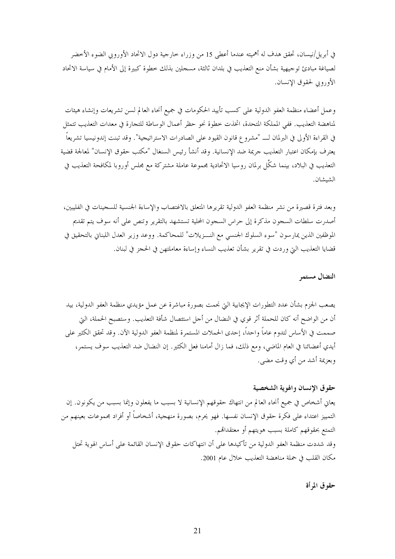في أبريل/نيسان، تحقق هدف له أهميته عندما أعطي 15 من وزراء حارجية دول الاتحاد الأوروبي الضوء الأحضر لصياغة مبادئ توجيهية بشأن منع التعذيب في بلدان ثالثة، مسجلين بذلك خطوة كبيرة إلى الأمام في سياسة الاتحاد الأوروبي لحقوق الإنسان.

وعمل أعضاء منظمة العفو الدولية على كسب تأييد الحكومات في جميع أنحاء العالم لسن تشريعات وإنشاء هيئات لمناهضة التعذيب. ففي المملكة المتحدة، اتخذت خطوة نحوٍ حظرٍ أعمال الوساطة للتجارة في معدات التعذيب تتمثل في القراءة الأولى في البرلمان لـــ "مشروع قانون القيود على الصادرات الاستراتيجية". وقد تبنت إندونيسيا تشريعاً يعترف بإمكان اعتبار التعذيب حريمة ضد الإنسانية. وقد أنشأ رئيس السنغال "مكتب حقوق الإنسان" لمعالجة قضية التعذيب في البلاد، بينما شكَّل برلمان روسيا الاتحادية مجموعة عاملة مشتركة مع مجلس أوروبا لمكافحة التعذيب في الشيشان.

وبعد فترة قصيرة من نشر منظمة العفو الدولية تقريرها المتعلق بالاغتصاب والإساءة الجنسية للسجينات في الفليبين، أصدرت سلطات السجون مذكرة إلى حراس السجون المحلية تستشهد بالتقرير وتنص على أنه سوف يتم تقديم الموظفين الذين يمارسون "سوء السلوك الجنسي مع النـــزيلات" للمحاكمة. ووعد وزير العدل اللبناني بالتحقيق في قضايا التعذيب التي وردت في تقرير بشأن تعذيب النساء وإساءة معاملتهن في الحجز في لبنان.

النضال مستمر

يصعب الجزم بشأن عدد التطورات الإيجابية التي نجمت بصورة مباشرة عن عمل مؤيدي منظمة العفو الدولية، بيد أن من الواضح أنه كان للحملة أثر قوي في النضال من أجل استئصال شأفة التعذيب. وستصبح الحملة، التي صممت في الأساس لتدوم عاماً واحداً، إحدى الحملات المستمرة لمنظمة العفو الدولية الآن. وقد تحقق الكثير على أيدي أعضائنا في العام الماضي، ومع ذلك، فما زال أمامنا فعل الكثير. إن النضال ضد التعذيب سوف يستمر، وبعزيمة أشد من أي وقت مضي.

### حقوق الإنسان والهوية الشخصية

يعاني أشخاص في جميع أنحاء العالم من انتهاك حقوقهم الإنسانية لا بسبب ما يفعلون وإنما بسبب من يكونون. إن التمييز اعتداء على فكرة حقوق الإنسان نفسها. فهو يحرم، بصورة منهجية، أشخاصاً أو أفراد مجموعات بعينهم من التمتع بحقوقهم كاملة بسبب هويتهم أو معتقدالهم. وقد شددت منظمة العفو الدولية من تأكيدها على أن انتهاكات حقوق الإنسان القائمة على أساس الهوية تحتل مكان القلب في حملة مناهضة التعذيب خلال عام 2001.

حقوق المرأة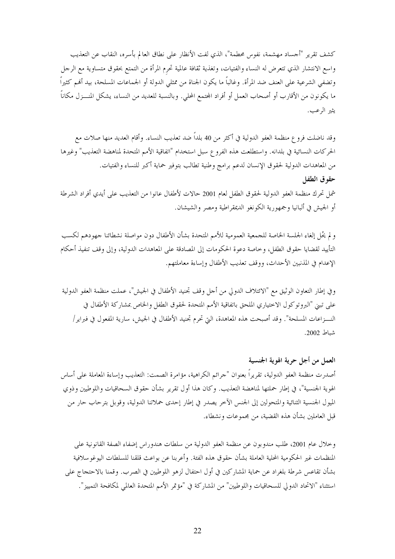كشف تقرير "أجساد مهشمة، نفوس محطمة"، الذي لفت الأنظار على نطاق العالم بأسره، النقاب عن التعذيب واسع الانتشار الذي تتعرض له النساء والفتيات، وتغذية ثقافة عالمية تحرم المرأة من التمتع بحقوق متساوية مع الرحل وتضفى الشرعية على العنف ضد المرأة. وغالباً ما يكون الجناة من ممثلي الدولة أو الجماعات المسلحة، بيد أفمم كثيراً ما يكونون من الأقارب أو أصحاب العمل أو أفراد المحتمع المحلي. وبالنسبة للعديد من النساء، يشكل المنـــزل مكاناً يثير الرعب.

وقد ناضلت فرو ع منظمة العفو الدولية في أكثر من 40 بلداً ضد تعذيب النساء. وأقام العديد منها صلات مع الحركات النسائية في بلدانه. واستطلعت هذه الفروع سبل استخدام "اتفاقية الأمم المتحدة لمناهضة التعذيب" وغيرها من المعاهدات الدولية لحقوق الإنسان لدعم برامج وطنية تطالب بتوفير حماية أكبر للنساء والفتيات. حقوق الطفل شمل تحرك منظمة العفو الدولية لحقوق الطفل لعام 2001 حالات لأطفال عانوا من التعذيب على أيدي أفراد الشرطة أو الجيش في ألبانيا وجمهورية الكونغو الديمقراطية ومصر والشيشان.

و لم يُحُل إلغاء الجلسة الخاصة للجمعية العمومية للأمم المتحدة بشأن الأطفال دون مواصلة نشطائنا جهودهم لكسب التأييد لقضايا حقوق الطفل، وخاصة دعوة الحكومات إلى المصادقة على المعاهدات الدولية، وإلى وقف تنفيذ أحكام الإعدام في المذنبين الأحداث، ووقف تعذيب الأطفال وإساءة معاملتهم.

وفي إطار التعاون الوثيق مع "الائتلاف الدولي من أحل وقف تجنيد الأطفال في الجيش"، عملت منظمة العفو الدولية على تبني "البروتوكول الاختياري الملحق باتفاقية الأمم المتحدة لحقوق الطفل والخاص بمشاركة الأطفال في النـــزاعات المسلحة". وقد أصبحت هذه المعاهدة، التي تحرم تجنيد الأطفال في الجيش، سارية المفعول في فبراير/ شباط 2002.

العمل من أجل حرية الهوية الجنسية أصدرت منظمة العفو الدولية، تقريراً بعنوان "جرائم الكراهية، مؤامرة الصمت: التعذيب وإساءة المعاملة على أساس الهوية الجنسية"، في إطار حملتها لمناهضة التعذيب. وكان هذا أول تقرير بشأن حقوق السحاقيات واللوطيين وذوي الميول الجنسية الثنائية والمتحولين إلى الجنس الآخر يصدر في إطار إحدى حملاتنا الدولية، وقوبل بترحاب حار من قبل العاملين بشأن هذه القضية، من مجموعات ونشطاء.

وخلال عام 2001، طلب مندوبون عن منظمة العفو الدولية من سلطات هندوراس إضفاء الصفة القانونية على المنظمات غير الحكومية المحلية العاملة بشأن حقوق هذه الفئة. وأعربنا عن بواعث قلقنا للسلطات اليوغوسلافية بشأن تقاعس شرطة بلغراد عن حماية المشاركين في أول احتفال لزهو اللوطيين في الصرب. وقمنا بالاحتجاج على استثناء "الاتحاد الدولي للسحاقيات واللوطيين" من المشاركة في "مؤتمر الأمم المتحدة العالمي لمكافحة التمييز".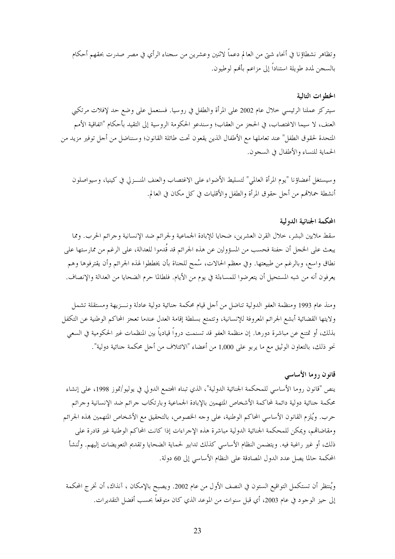وتظاهر نشطاؤنا في أنحاء شتيٍّ من العالم دعماً لاثنين وعشرين من سجناء الرأي في مصر صدرت بحقهم أحكام بالسجن لمدد طويلة استناداً إلى مزاعم بألهم لوطيون.

### الخطوات التالية

سيتركز عملنا الرئيسي حلال عام 2002 على المرأة والطفل في روسيا. فسنعمل على وضع حد لإفلات مرتكبي العنف، لا سيما الاغتصاب، في الحجز من العقاب؛ وسندعو الحكومة الروسية إلى التقيد بأحكام "اتفاقية الأمم المتحدة لحقوق الطفل" عند تعاملها مع الأطفال الذين يقعون تحت طائلة القانون؛ وسنناضل من أحل توفير مزيد من الحماية للنساء والأطفال في السجون.

وسيستغل أعضاؤنا "يوم المرأة العالمي" لتسليط الأضواء على الاغتصاب والعنف المنسزلي في كينيا، وسيواصلون أنشطة حملاقمم من أحل حقوق المرأة والطفل والأقليات في كل مكان في العالم.

### المحكمة الجنائية الدولية

سقط ملايين البشر، خلال القرن العشرين، ضحايا للإبادة الجماعية ولجرائم ضد الإنسانية وجرائم الحرب. ومما يبعث على الخجل أن حفنة فحسب من المسؤولين عن هذه الجرائم قد قُدموا للعدالة، على الرغم من ممارستها على نطاق واسع، وبالرغم من طبيعتها. وفي معظم الحالات، سُمح للجناة بأن يخططوا لهذه الجرائم وأن يقترفوها وهم يعرفون أنه من شبه المستحيل أن يتعرضوا للمساءلة في يوم من الأيام. فلطالما حرم الضحايا من العدالة والإنصاف.

ومنذ عام 1993 ومنظمة العفو الدولية تناضل من أجل قيام محكمة جنائية دولية عادلة ونسزيهة ومستقلة تشمل ولايتها القضائية أبشع الجرائم المعروفة للإنسانية، وتتمتع بسلطة إقامة العدل عندما تعجز المحاكم الوطنية عن التكفل بذلك، أو تمتنع عن مباشرة دورها. إن منظمة العفو قد تسنمت درواً قيادياً بين المنظمات غير الحكومية في السعى نحو ذلك، بالتعاون الوثيق مع ما يربو على 1,000 من أعضاء "الائتلاف من أحل محكمة جنائية دولية".

#### قانون روما الأساسي

ينص "قانون روما الأساسي للمحكمة الجنائية الدولية"، الذي تبناه المجتمع الدولي في يوليو/تموز 1998، على إنشاء محكمة جنائية دولية دائمة لمحاكمة الأشخاص المتهمين بالإبادة الجماعية وبارتكاب جرائم ضد الإنسانية وجرائم حرب. ويُلزم القانون الأساسي المحاكم الوطنية، على وجه الخصوص، بالتحقيق مع الأشخاص المتهمين هذه الجرائم ومقاضاقم، ويمكن للمحكمة الجنائية الدولية مباشرة هذه الإحراءات إذا كانت المحاكم الوطنية غير قادرة على ذلك، أو غير راغبة فيه. ويتضمن النظام الأساسي كذلك تدابير لحماية الضحايا وتقديم التعويضات إليهم. وتُنشأ المحكمة حالما يصل عدد الدول المصادقة على النظام الأساسي إلى 60 دولة.

ويُنتظر أن تستكمل التواقيع الستون في النصف الأول من عام 2002. ويصبح بالإمكان ، آنذاك، أن تخرج المحكمة إلى حيز الوحود في عام 2003، أي قبل سنوات من الموعد الذي كان متوقعاً بحسب أفضل التقديرات.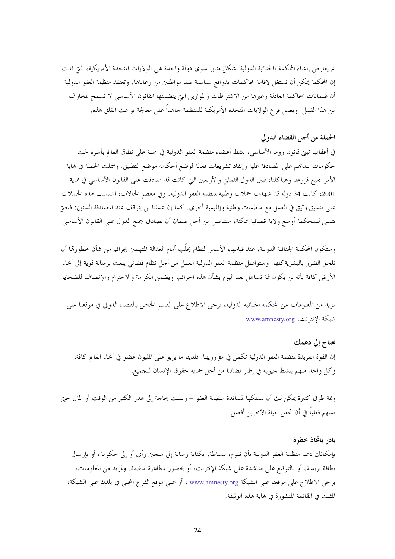لم يعارض إنشاء المحكمة بالجنائية الدولية بشكل مثابر سوى دولة واحدة هي الولايات المتحدة الأمريكية، التي قالت إن المحكمة يمكن أن تستغل لإقامة محاكمات بدوافع سياسية ضد مواطنين من رعاياها. وتعتقد منظمة العفو الدولية أن ضمانات المحاكمة العادلة وغيرها من الاشتراطات والموازين التي يتضمنها القانون الأساسي لا تسمح بمخاوف من هذا القبيل. ويعمل فرع الولايات المتحدة الأمريكية للمنظمة جاهداً على معالجة بواعث القلق هذه.

# الحملة من أجل القضاء الدولي

في أعقاب تبني قانون روما الأساسي، نشط أعضاء منظمة العفو الدولية في حملة على نطاق العالم بأسره لحث حكومات بلدالهم على المصادقة عليه وإنفاذ تشريعات فعالة لوضع أحكامه موضع التطبيق. وشملت الحملة في نماية الأمر جميع فروعنا وهياكلنا: فبين الدول الثماني والأربعين التي كانت قد صادقت على القانون الأساسي في نماية 2001، كانت 34 دولة قد شهدت حملات وطنية لمنظمة العفو الدولية. وفي معظم الحالات، اشتملت هذه الحملات على تنسيق وثيق في العمل مع منظمات وطنية وإقليمية أخرى. كما إن عملنا لن يتوقف عند المصادقة الستين: فحتى تتسنى للمحكمة أو سع ولاية قضائية ممكنة، سنناضل من أحل ضمان أن تصادق جميع الدول على القانون الأساسي.

وستكون المحكمة الجنائية الدولية، عند قيامها، الأساس لنظام يجلُب أمام العدالة المتهمين بجرائم من شأن خطورقما أن تلحق الضرر بالبشريةكلها. وستواصل منظمة العفو الدولية العمل من أحل نظام قضائي يبعث برسالة قوية إلى أنحاء الأرض كافة بأنه لن يكون ثمة تساهل بعد اليوم بشأن هذه الجرائم، ويضمن الكرامة والاحترام والإنصاف للضحايا.

لمزيد من المعلومات عن المحكمة الجنائية الدولية، يرحى الاطلاع على القسم الخاص بالقضاء الدولي في موقعنا على شبكة الانترنت: www.amnesty.org

نحتاج إلى دعمك إن القوة الفريدة لمنظمة العفو الدولية تكمن في مؤازريها: فلدينا ما يربو على المليون عضو في أنحاء العالم كافة، وكل واحد منهم ينشط بحيوية في إطار نضالنا من أحل حماية حقوق الإنسان للجميع.

وثمة طرق كثيرة يمكن لك أن تسلكها لمساندة منظمة العفو – ولست بحاجة إلى هدر الكثير من الوقت أو المال حيّ تسهم فعلياً في أن تجعل حياة الآخرين أفضل.

### بادر باتخاذ خطوة

بإمكانك دعم منظمة العفو الدولية بأن تقوم، ببساطة، بكتابة رسالة إلى سجين رأي أو إلى حكومة، أو بإرسال بطاقة بريدية، أو بالتوقيع على مناشدة على شبكة الإنترنت، أو بحضور مظاهرة منظمة. ولمزيد من المعلومات، يرجى الاطلاع على موقعنا على الشبكة <u>www.amnesty.org</u> ، أو على موقع الفرع المحلي في بلدك على الشبكة، المثبت في القائمة المنشورة في نماية هذه الوثيقة.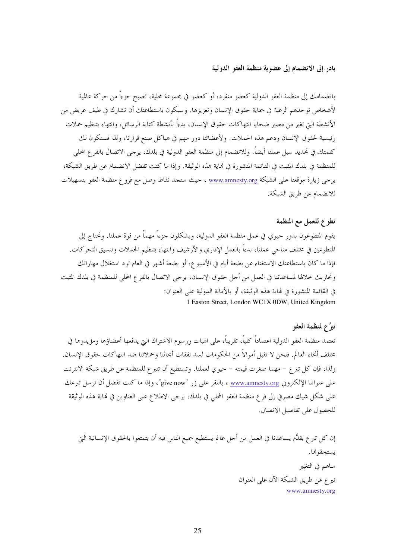بادر إلى الانضمام إلى عضوية منظمة العفو الدولية

بانضمامك إلى منظمة العفو الدولية كعضو منفرد، أو كعضو في مجموعة محلية، تصبح جزءاً من حركة عالمية لأشخاص توحدهم الرغبة في حماية حقوق الإنسان وتعزيزها. وسيكون باستطاعتك أن تشارك في طيف عريض من الأنشطة التي تغير من مصير ضحايا انتهاكات حقوق الإنسان، بدءاً بأنشطة كتابة الرسائل، وانتهاء بتنظيم حملات رئيسية لحقوق الإنسان ودعم هذه الحملات. ولأعضائنا دور مهم في هياكل صنع قرارنا، ولذا فستكون لك كلمتك في تحديد سبل عملنا أيضاً. وللانضمام إلى منظمة العفو الدولية في بلدك، يرجى الاتصال بالفرع المحلي للمنظمة في بلدك المثبت في القائمة المنشورة في نماية هذه الوثيقة. وإذا ما كنت تفضل الانضمام عن طريق الشبكة، يرجى زيارة موقعنا على الشبكة www.amnesty.org ، حيث ستجد نقاط وصل مع فروع منظمة العفو بتسهيلات للانضمام عن طريق الشبكة.

# تطوع للعمل مع المنظمة

يقوم المتطوعون بدور حيوي في عمل منظمة العفو الدولية، ويشكلون جزءًا مهماً من قوة عملنا. ونحتاج إلى المتطوعين في مختلف مناحي عملنا، بدءاً بالعمل الإداري والأرشيف وانتهاء بتنظيم الحملات وتنسيق التحركات. فإذا ما كان باستطاعتك الاستغناء عن بضعة أيام في الأسبو ع، أو بضعة أشهر في العام تود استغلال مهاراتك وتحاربك حلالها لمساعدتنا في العمل من أحل حقوق الإنسان، يرحى الاتصال بالفرع المحلي للمنظمة في بلدك المثبت في القائمة المنشورة في لهاية هذه الوثيقة، أو بالأمانة الدولية على العنوان: 1 Easton Street, London WC1X 0DW, United Kingdom

### تبرَّع لمنظمة العفو

تعتمد منظمة العفو الدولية اعتماداً كلياً، تقريباً، على الهبات ورسوم الاشتراك التي يدفعها أعضاؤها ومؤيدوها في مختلف أنحاء العالم. فنحن لا نقبل أموالاً من الحكومات لسد نفقات أبحاثنا وحملاتنا ضد انتهاكات حقوق الإنسان. ولذا، فإن كل تبرع – مهما صغرت قيمته – حيوي لعملنا. وتستطيع أن تتبرع للمنظمة عن طريق شبكة الانترنت على عنواننا الإلكتروني <u>www.amnesty.org</u> ، بالنقر على زر "give now"، وإذا ما كنت تفضل أن ترسل تبرعك على شكل شيك مصرفي إلى فرع منظمة العفو المحلي في بلدك، يرحى الاطلاع على العناوين في نماية هذه الوثيقة للحصول على تفاصيل الاتصال.

إن كل تبرع يقدُّم يساعدنا في العمل من أحل عالم يستطيع جميع الناس فيه أن يتمتعوا بالحقوق الإنسانية التي يستحقو فما. ساهم في التغيير تبرع عن طريق الشبكة الآن على العنوان www.amnesty.org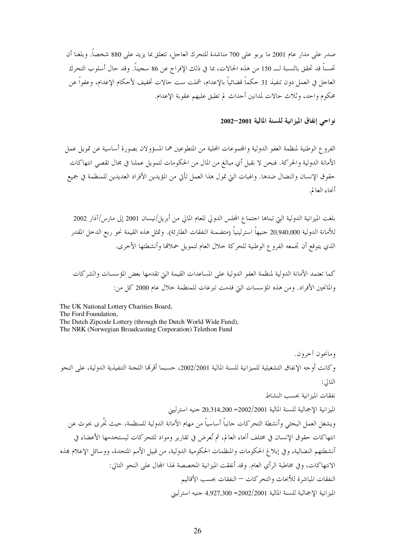صدر على مدار عام 2001 ما يربو على 700 مناشدة للتحرك العاجل، تتعلق بما يزيد على 880 شخصاً. وبلغنا أن تحسناً قد تحقق بالنسبة لــــ 150 من هذه الحالات، بما في ذلك الإفراج عن 86 سجيناً. وقد حال أسلوب التحرك العاجل في العمل دون تنفيذ 31 حكماً قضائياً بالإعدام، شملت ست حالات تخفيف لأحكام الإعدام، وعفواً عن محكوم واحد، وثلاث حالات لمدانين أحداث لم تطبق عليهم عقوبة الإعدام.

نواحي إنفاق الميزانية للسنة المالية 2001–2002

الفروع الوطنية لمنظمة العفو الدولية والجحموعات المحلية من المتطوعين هما المسؤولان بصورة أساسية عن تمويل عمل الأمانة الدولية والحركة. فنحن لا نقبل أي مبالغ من المال من الحكومات لتمويل عملنا في محال تقصى انتهاكات حقوق الإنسان والنضال ضدها. والهبات التي تمول هذا العمل تأتي من المؤيدين الأفراد العديدين للمنظمة في جميع أنحاء العالم.

بلغت الميزانية الدولية التي تبناها احتماع المحلس الدولي للعام المالي من أبريل/نيسان 2001 إلى مارس/آذار 2002 للأمانة الدولية 20,940,000 جنيهاً استرلينياً (متضمنة النفقات الطارئة). وتمثل هذه القيمة نحو ربع الدحل المقدر الذي يتوقع أن تجمعه الفروع الوطنية للحركة حلال العام لتمويل حملاقما وأنشطتها الأخرى.

كما تعتمد الأمانة الدولية لمنظمة العفو الدولية على المساعدات القيمة التي تقدمها بعض المؤسسات والشركات والمانحين الأفراد. ومن هذه المؤسسات التي قدمت تبرعات للمنظمة حلال عام 2000 كل من:

The UK National Lottery Charities Board, The Ford Foundation, The Dutch Zipcode Lottery (through the Dutch World Wide Fund), The NRK (Norwegian Broadcasting Corporation) Telethon Fund

ومانحون آحرون. وكانت أوجه الإنفاق التشغيلية للميزانية للسنة المالية 2002/2001، حسبما أقرقما اللجنة التنفيذية الدولية، على النحو التالي: نفقات الميزانية بحسب النشاط الميزانية الإجمالية للسنة المالية 2002/2001= 20,314,200 جنيه استرليني ويشغل العمل البحثي وأنشطة التحركات جانباً أساسياً من مهام الأمانة الدولية للمنظمة، حيث تَحُرى بحوث عن انتهاكات حقوق الإنسان في مختلف أنحاء العالم، ثم تُعرض في تقارير ومواد للتحركات ليستخدمها الأعضاء في أنشطتهم النضالية، وفي إبلاغ الحكومات والمنظمات الحكومية الدولية، من قبيل الأمم المتحدة، ووسائل الإعلام بمذه الانتهاكات، وفي مخاطبة الرأي العام. وقد أنفقت الميزانية المخصصة لهذا المحال على النحو التالي: النفقات المباشرة للأبحاث والتحركات — النفقات بحسب الأقاليم الميزانية الإجمالية للسنة المالية 2002/2001= 4,927,300 جنيه استرليني